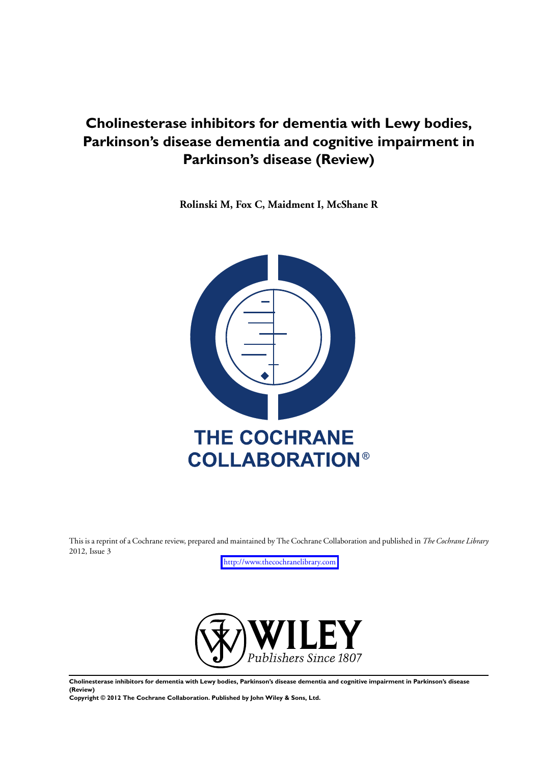# **Cholinesterase inhibitors for dementia with Lewy bodies, Parkinson's disease dementia and cognitive impairment in Parkinson's disease (Review)**

**Rolinski M, Fox C, Maidment I, McShane R**



This is a reprint of a Cochrane review, prepared and maintained by The Cochrane Collaboration and published in *The Cochrane Library* 2012, Issue 3

<http://www.thecochranelibrary.com>



**Cholinesterase inhibitors for dementia with Lewy bodies, Parkinson's disease dementia and cognitive impairment in Parkinson's disease (Review)**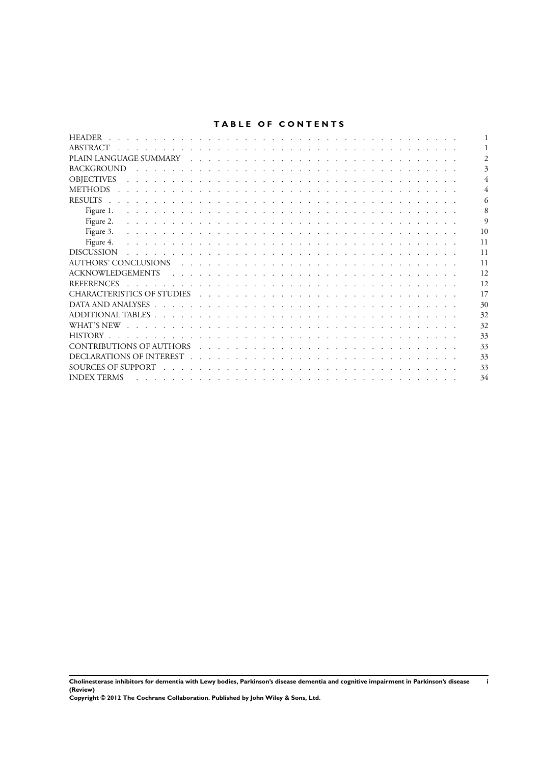# **TABLE OF CONTENTS**

| <b>HEADER</b>                                                                                                                                                                                                                  |    |
|--------------------------------------------------------------------------------------------------------------------------------------------------------------------------------------------------------------------------------|----|
| <b>ABSTRACT</b>                                                                                                                                                                                                                |    |
| PLAIN LANGUAGE SUMMARY<br><u>. In the second contract of the second contract of the second contract of the second</u>                                                                                                          |    |
| <b>BACKGROUND</b>                                                                                                                                                                                                              |    |
| <b>OBJECTIVES</b>                                                                                                                                                                                                              |    |
| <b>METHODS</b>                                                                                                                                                                                                                 |    |
| <b>RESULTS</b>                                                                                                                                                                                                                 | 6  |
| Figure 1.                                                                                                                                                                                                                      |    |
| Figure 2.                                                                                                                                                                                                                      | 9  |
| Figure 3.                                                                                                                                                                                                                      | 10 |
| Figure 4.                                                                                                                                                                                                                      | 11 |
| <b>DISCUSSION</b><br><u>. In the second terms of the second terms of the second terms of the second terms of the second</u>                                                                                                    | 11 |
| AUTHORS' CONCLUSIONS<br><u>. In the second contract of the second contract of the second contract of the second</u>                                                                                                            | 11 |
| <b>ACKNOWLEDGEMENTS</b>                                                                                                                                                                                                        | 12 |
| <b>REFERENCES</b><br><u>. In the second contract of the second contract of the second contract of the second</u>                                                                                                               | 12 |
|                                                                                                                                                                                                                                | 17 |
|                                                                                                                                                                                                                                | 30 |
|                                                                                                                                                                                                                                | 32 |
| WHAT'S NEW received a received and construction of the construction of the construction of the construction of the construction of the construction of the construction of the construction of the construction of the constru | 32 |
| HISTORY<br>a constitution de la constitución de la constitución de la constitución de la constitución de la constitución                                                                                                       | 33 |
| CONTRIBUTIONS OF AUTHORS<br>the contract of the contract of the contract of the contract of the contract of                                                                                                                    | 33 |
|                                                                                                                                                                                                                                | 33 |
| SOURCES OF SUPPORT                                                                                                                                                                                                             | 33 |
| <b>INDEX TERMS</b><br>the contract of the contract of the contract of the contract of the contract of the contract of                                                                                                          | 34 |

**Cholinesterase inhibitors for dementia with Lewy bodies, Parkinson's disease dementia and cognitive impairment in Parkinson's disease i (Review)**

**Copyright © 2012 The Cochrane Collaboration. Published by John Wiley & Sons, Ltd.**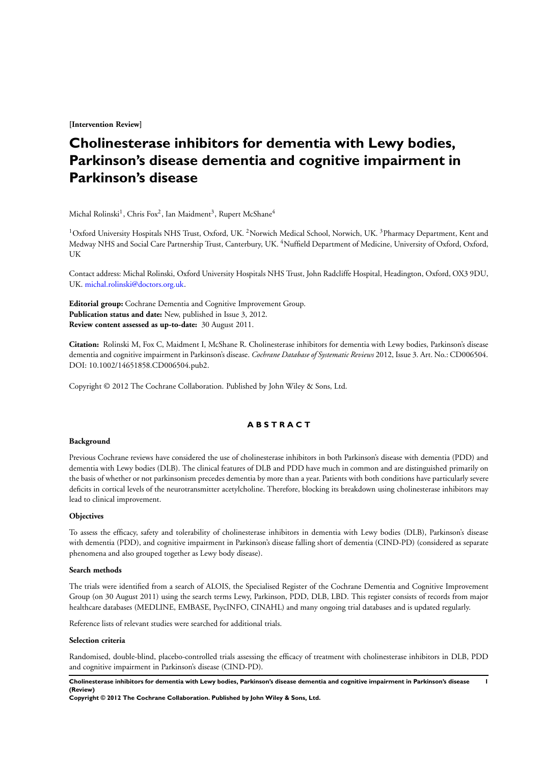**[Intervention Review]**

# **Cholinesterase inhibitors for dementia with Lewy bodies, Parkinson's disease dementia and cognitive impairment in Parkinson's disease**

Michal Rolinski $^1$ , Chris Fox $^2$ , Ian Maidment $^3$ , Rupert McShane $^4$ 

<sup>1</sup>Oxford University Hospitals NHS Trust, Oxford, UK. <sup>2</sup>Norwich Medical School, Norwich, UK. <sup>3</sup>Pharmacy Department, Kent and Medway NHS and Social Care Partnership Trust, Canterbury, UK. <sup>4</sup>Nuffield Department of Medicine, University of Oxford, Oxford, UK

Contact address: Michal Rolinski, Oxford University Hospitals NHS Trust, John Radcliffe Hospital, Headington, Oxford, OX3 9DU, UK. [michal.rolinski@doctors.org.uk.](mailto:michal.rolinski@doctors.org.uk)

**Editorial group:** Cochrane Dementia and Cognitive Improvement Group. **Publication status and date:** New, published in Issue 3, 2012. **Review content assessed as up-to-date:** 30 August 2011.

**Citation:** Rolinski M, Fox C, Maidment I, McShane R. Cholinesterase inhibitors for dementia with Lewy bodies, Parkinson's disease dementia and cognitive impairment in Parkinson's disease. *Cochrane Database of Systematic Reviews* 2012, Issue 3. Art. No.: CD006504. DOI: 10.1002/14651858.CD006504.pub2.

Copyright © 2012 The Cochrane Collaboration. Published by John Wiley & Sons, Ltd.

# **A B S T R A C T**

### **Background**

Previous Cochrane reviews have considered the use of cholinesterase inhibitors in both Parkinson's disease with dementia (PDD) and dementia with Lewy bodies (DLB). The clinical features of DLB and PDD have much in common and are distinguished primarily on the basis of whether or not parkinsonism precedes dementia by more than a year. Patients with both conditions have particularly severe deficits in cortical levels of the neurotransmitter acetylcholine. Therefore, blocking its breakdown using cholinesterase inhibitors may lead to clinical improvement.

#### **Objectives**

To assess the efficacy, safety and tolerability of cholinesterase inhibitors in dementia with Lewy bodies (DLB), Parkinson's disease with dementia (PDD), and cognitive impairment in Parkinson's disease falling short of dementia (CIND-PD) (considered as separate phenomena and also grouped together as Lewy body disease).

# **Search methods**

The trials were identified from a search of ALOIS, the Specialised Register of the Cochrane Dementia and Cognitive Improvement Group (on 30 August 2011) using the search terms Lewy, Parkinson, PDD, DLB, LBD. This register consists of records from major healthcare databases (MEDLINE, EMBASE, PsycINFO, CINAHL) and many ongoing trial databases and is updated regularly.

Reference lists of relevant studies were searched for additional trials.

#### **Selection criteria**

Randomised, double-blind, placebo-controlled trials assessing the efficacy of treatment with cholinesterase inhibitors in DLB, PDD and cognitive impairment in Parkinson's disease (CIND-PD).

**Cholinesterase inhibitors for dementia with Lewy bodies, Parkinson's disease dementia and cognitive impairment in Parkinson's disease 1 (Review)**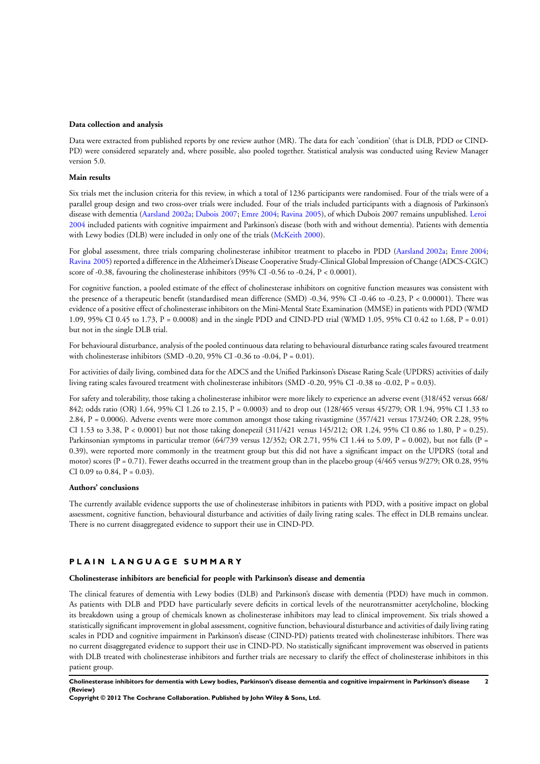#### **Data collection and analysis**

Data were extracted from published reports by one review author (MR). The data for each 'condition' (that is DLB, PDD or CIND-PD) were considered separately and, where possible, also pooled together. Statistical analysis was conducted using Review Manager version 5.0.

#### **Main results**

Six trials met the inclusion criteria for this review, in which a total of 1236 participants were randomised. Four of the trials were of a parallel group design and two cross-over trials were included. Four of the trials included participants with a diagnosis of Parkinson's disease with dementia ([Aarsland 2002a](http://Aarsland 2002a); [Dubois 2007;](http://Dubois 2007) [Emre 2004](http://Emre 2004); [Ravina 2005](http://Ravina 2005)), of which Dubois 2007 remains unpublished. [Leroi](http://Leroi 2004) [2004](http://Leroi 2004) included patients with cognitive impairment and Parkinson's disease (both with and without dementia). Patients with dementia with Lewy bodies (DLB) were included in only one of the trials ([McKeith 2000](http://McKeith 2000)).

For global assessment, three trials comparing cholinesterase inhibitor treatment to placebo in PDD ([Aarsland 2002a](http://Aarsland 2002a); [Emre 2004;](http://Emre 2004) [Ravina 2005\)](http://Ravina 2005) reported a difference in the Alzheimer's Disease Cooperative Study-Clinical Global Impression of Change (ADCS-CGIC) score of -0.38, favouring the cholinesterase inhibitors (95% CI -0.56 to -0.24, P < 0.0001).

For cognitive function, a pooled estimate of the effect of cholinesterase inhibitors on cognitive function measures was consistent with the presence of a therapeutic benefit (standardised mean difference (SMD) -0.34, 95% CI -0.46 to -0.23, P < 0.00001). There was evidence of a positive effect of cholinesterase inhibitors on the Mini-Mental State Examination (MMSE) in patients with PDD (WMD 1.09, 95% CI 0.45 to 1.73, P = 0.0008) and in the single PDD and CIND-PD trial (WMD 1.05, 95% CI 0.42 to 1.68, P = 0.01) but not in the single DLB trial.

For behavioural disturbance, analysis of the pooled continuous data relating to behavioural disturbance rating scales favoured treatment with cholinesterase inhibitors (SMD -0.20, 95% CI -0.36 to -0.04,  $P = 0.01$ ).

For activities of daily living, combined data for the ADCS and the Unified Parkinson's Disease Rating Scale (UPDRS) activities of daily living rating scales favoured treatment with cholinesterase inhibitors (SMD -0.20, 95% CI -0.38 to -0.02, P = 0.03).

For safety and tolerability, those taking a cholinesterase inhibitor were more likely to experience an adverse event (318/452 versus 668/ 842; odds ratio (OR) 1.64, 95% CI 1.26 to 2.15, P = 0.0003) and to drop out (128/465 versus 45/279; OR 1.94, 95% CI 1.33 to 2.84, P = 0.0006). Adverse events were more common amongst those taking rivastigmine (357/421 versus 173/240; OR 2.28, 95% CI 1.53 to 3.38, P < 0.0001) but not those taking donepezil (311/421 versus 145/212; OR 1.24, 95% CI 0.86 to 1.80, P = 0.25). Parkinsonian symptoms in particular tremor (64/739 versus 12/352; OR 2.71, 95% CI 1.44 to 5.09,  $P = 0.002$ ), but not falls ( $P =$ 0.39), were reported more commonly in the treatment group but this did not have a significant impact on the UPDRS (total and motor) scores (P = 0.71). Fewer deaths occurred in the treatment group than in the placebo group ( $4/465$  versus  $9/279$ ; OR 0.28, 95% CI 0.09 to 0.84,  $P = 0.03$ ).

#### **Authors' conclusions**

The currently available evidence supports the use of cholinesterase inhibitors in patients with PDD, with a positive impact on global assessment, cognitive function, behavioural disturbance and activities of daily living rating scales. The effect in DLB remains unclear. There is no current disaggregated evidence to support their use in CIND-PD.

# **P L A I N L A N G U A G E S U M M A R Y**

#### **Cholinesterase inhibitors are beneficial for people with Parkinson's disease and dementia**

The clinical features of dementia with Lewy bodies (DLB) and Parkinson's disease with dementia (PDD) have much in common. As patients with DLB and PDD have particularly severe deficits in cortical levels of the neurotransmitter acetylcholine, blocking its breakdown using a group of chemicals known as cholinesterase inhibitors may lead to clinical improvement. Six trials showed a statistically significant improvement in global assessment, cognitive function, behavioural disturbance and activities of daily living rating scales in PDD and cognitive impairment in Parkinson's disease (CIND-PD) patients treated with cholinesterase inhibitors. There was no current disaggregated evidence to support their use in CIND-PD. No statistically significant improvement was observed in patients with DLB treated with cholinesterase inhibitors and further trials are necessary to clarify the effect of cholinesterase inhibitors in this patient group.

**Cholinesterase inhibitors for dementia with Lewy bodies, Parkinson's disease dementia and cognitive impairment in Parkinson's disease 2 (Review)**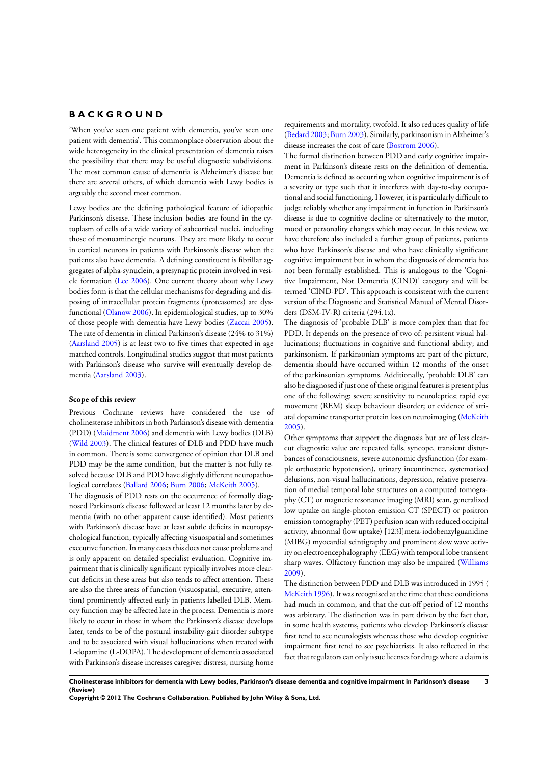# **B A C K G R O U N D**

'When you've seen one patient with dementia, you've seen one patient with dementia'. This commonplace observation about the wide heterogeneity in the clinical presentation of dementia raises the possibility that there may be useful diagnostic subdivisions. The most common cause of dementia is Alzheimer's disease but there are several others, of which dementia with Lewy bodies is arguably the second most common.

Lewy bodies are the defining pathological feature of idiopathic Parkinson's disease. These inclusion bodies are found in the cytoplasm of cells of a wide variety of subcortical nuclei, including those of monoaminergic neurons. They are more likely to occur in cortical neurons in patients with Parkinson's disease when the patients also have dementia. A defining constituent is fibrillar aggregates of alpha-synuclein, a presynaptic protein involved in vesicle formation [\(Lee 2006](#page-13-0)). One current theory about why Lewy bodies form is that the cellular mechanisms for degrading and disposing of intracellular protein fragments (proteasomes) are dysfunctional [\(Olanow 2006](#page-13-0)). In epidemiological studies, up to 30% of those people with dementia have Lewy bodies ([Zaccai 2005](#page-13-0)). The rate of dementia in clinical Parkinson's disease (24% to 31%) [\(Aarsland 2005\)](#page-13-0) is at least two to five times that expected in age matched controls. Longitudinal studies suggest that most patients with Parkinson's disease who survive will eventually develop dementia [\(Aarsland 2003](#page-13-0)).

#### **Scope of this review**

Previous Cochrane reviews have considered the use of cholinesterase inhibitors in both Parkinson's disease with dementia (PDD) ([Maidment 2006](#page-13-0)) and dementia with Lewy bodies (DLB) [\(Wild 2003](#page-13-0)). The clinical features of DLB and PDD have much in common. There is some convergence of opinion that DLB and PDD may be the same condition, but the matter is not fully resolved because DLB and PDD have slightly different neuropathological correlates [\(Ballard 2006](#page-13-0); [Burn 2006;](#page-13-0) [McKeith 2005](#page-13-0)).

The diagnosis of PDD rests on the occurrence of formally diagnosed Parkinson's disease followed at least 12 months later by dementia (with no other apparent cause identified). Most patients with Parkinson's disease have at least subtle deficits in neuropsychological function, typically affecting visuospatial and sometimes executive function. In many cases this does not cause problems and is only apparent on detailed specialist evaluation. Cognitive impairment that is clinically significant typically involves more clearcut deficits in these areas but also tends to affect attention. These are also the three areas of function (visuospatial, executive, attention) prominently affected early in patients labelled DLB. Memory function may be affected late in the process. Dementia is more likely to occur in those in whom the Parkinson's disease develops later, tends to be of the postural instability-gait disorder subtype and to be associated with visual hallucinations when treated with L-dopamine (L-DOPA). The development of dementia associated with Parkinson's disease increases caregiver distress, nursing home

requirements and mortality, twofold. It also reduces quality of life [\(Bedard 2003](#page-13-0); [Burn 2003](#page-13-0)). Similarly, parkinsonism in Alzheimer's disease increases the cost of care [\(Bostrom 2006\)](#page-13-0).

The formal distinction between PDD and early cognitive impairment in Parkinson's disease rests on the definition of dementia. Dementia is defined as occurring when cognitive impairment is of a severity or type such that it interferes with day-to-day occupational and social functioning. However, it is particularly difficult to judge reliably whether any impairment in function in Parkinson's disease is due to cognitive decline or alternatively to the motor, mood or personality changes which may occur. In this review, we have therefore also included a further group of patients, patients who have Parkinson's disease and who have clinically significant cognitive impairment but in whom the diagnosis of dementia has not been formally established. This is analogous to the 'Cognitive Impairment, Not Dementia (CIND)' category and will be termed 'CIND-PD'. This approach is consistent with the current version of the Diagnostic and Statistical Manual of Mental Disorders (DSM-IV-R) criteria (294.1x).

The diagnosis of 'probable DLB' is more complex than that for PDD. It depends on the presence of two of: persistent visual hallucinations; fluctuations in cognitive and functional ability; and parkinsonism. If parkinsonian symptoms are part of the picture, dementia should have occurred within 12 months of the onset of the parkinsonian symptoms. Additionally, 'probable DLB' can also be diagnosed if just one of these original features is present plus one of the following: severe sensitivity to neuroleptics; rapid eye movement (REM) sleep behaviour disorder; or evidence of striatal dopamine transporter protein loss on neuroimaging [\(McKeith](#page-13-0) [2005](#page-13-0)).

Other symptoms that support the diagnosis but are of less clearcut diagnostic value are repeated falls, syncope, transient disturbances of consciousness, severe autonomic dysfunction (for example orthostatic hypotension), urinary incontinence, systematised delusions, non-visual hallucinations, depression, relative preservation of medial temporal lobe structures on a computed tomography (CT) or magnetic resonance imaging (MRI) scan, generalized low uptake on single-photon emission CT (SPECT) or positron emission tomography (PET) perfusion scan with reduced occipital activity, abnormal (low uptake) [123I]meta-iodobenzylguanidine (MIBG) myocardial scintigraphy and prominent slow wave activity on electroencephalography (EEG) with temporal lobe transient sharp waves. Olfactory function may also be impaired [\(Williams](#page-13-0) [2009](#page-13-0)).

The distinction between PDD and DLB was introduced in 1995 ( [McKeith 1996\)](#page-13-0). It was recognised at the time that these conditions had much in common, and that the cut-off period of 12 months was arbitrary. The distinction was in part driven by the fact that, in some health systems, patients who develop Parkinson's disease first tend to see neurologists whereas those who develop cognitive impairment first tend to see psychiatrists. It also reflected in the fact that regulators can only issue licenses for drugs where a claim is

**Cholinesterase inhibitors for dementia with Lewy bodies, Parkinson's disease dementia and cognitive impairment in Parkinson's disease 3 (Review)**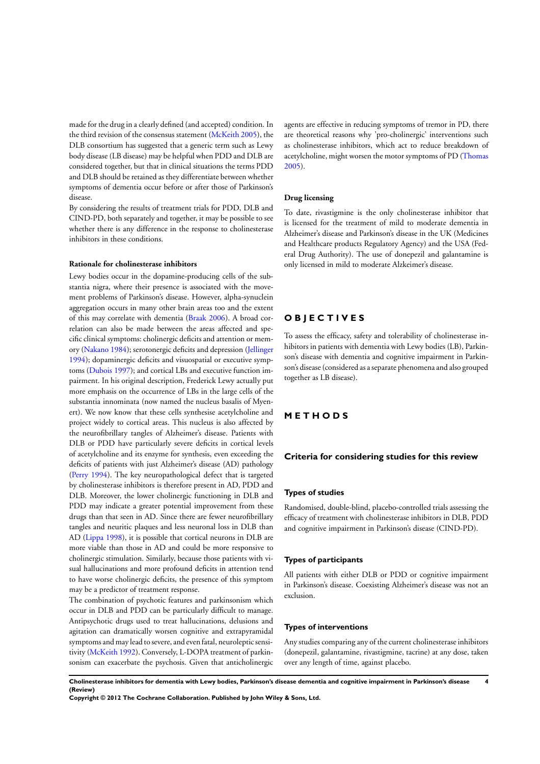made for the drug in a clearly defined (and accepted) condition. In the third revision of the consensus statement ([McKeith 2005](#page-13-0)), the DLB consortium has suggested that a generic term such as Lewy body disease (LB disease) may be helpful when PDD and DLB are considered together, but that in clinical situations the terms PDD and DLB should be retained as they differentiate between whether symptoms of dementia occur before or after those of Parkinson's disease.

By considering the results of treatment trials for PDD, DLB and CIND-PD, both separately and together, it may be possible to see whether there is any difference in the response to cholinesterase inhibitors in these conditions.

#### **Rationale for cholinesterase inhibitors**

Lewy bodies occur in the dopamine-producing cells of the substantia nigra, where their presence is associated with the movement problems of Parkinson's disease. However, alpha-synuclein aggregation occurs in many other brain areas too and the extent of this may correlate with dementia [\(Braak 2006](#page-13-0)). A broad correlation can also be made between the areas affected and specific clinical symptoms: cholinergic deficits and attention or memory [\(Nakano 1984\)](#page-13-0); serotonergic deficits and depression ([Jellinger](#page-13-0) [1994](#page-13-0)); dopaminergic deficits and visuospatial or executive symptoms [\(Dubois 1997\)](#page-13-0); and cortical LBs and executive function impairment. In his original description, Frederick Lewy actually put more emphasis on the occurrence of LBs in the large cells of the substantia innominata (now named the nucleus basalis of Myenert). We now know that these cells synthesise acetylcholine and project widely to cortical areas. This nucleus is also affected by the neurofibrillary tangles of Alzheimer's disease. Patients with DLB or PDD have particularly severe deficits in cortical levels of acetylcholine and its enzyme for synthesis, even exceeding the deficits of patients with just Alzheimer's disease (AD) pathology [\(Perry 1994](#page-13-0)). The key neuropathological defect that is targeted by cholinesterase inhibitors is therefore present in AD, PDD and DLB. Moreover, the lower cholinergic functioning in DLB and PDD may indicate a greater potential improvement from these drugs than that seen in AD. Since there are fewer neurofibrillary tangles and neuritic plaques and less neuronal loss in DLB than AD [\(Lippa 1998\)](#page-13-0), it is possible that cortical neurons in DLB are more viable than those in AD and could be more responsive to cholinergic stimulation. Similarly, because those patients with visual hallucinations and more profound deficits in attention tend to have worse cholinergic deficits, the presence of this symptom may be a predictor of treatment response.

The combination of psychotic features and parkinsonism which occur in DLB and PDD can be particularly difficult to manage. Antipsychotic drugs used to treat hallucinations, delusions and agitation can dramatically worsen cognitive and extrapyramidal symptoms and may lead to severe, and evenfatal, neuroleptic sensitivity ([McKeith 1992](#page-13-0)). Conversely, L-DOPA treatment of parkinsonism can exacerbate the psychosis. Given that anticholinergic

agents are effective in reducing symptoms of tremor in PD, there are theoretical reasons why 'pro-cholinergic' interventions such as cholinesterase inhibitors, which act to reduce breakdown of acetylcholine, might worsen the motor symptoms of PD ([Thomas](#page-13-0) [2005](#page-13-0)).

#### **Drug licensing**

To date, rivastigmine is the only cholinesterase inhibitor that is licensed for the treatment of mild to moderate dementia in Alzheimer's disease and Parkinson's disease in the UK (Medicines and Healthcare products Regulatory Agency) and the USA (Federal Drug Authority). The use of donepezil and galantamine is only licensed in mild to moderate Alzkeimer's disease.

# **O B J E C T I V E S**

To assess the efficacy, safety and tolerability of cholinesterase inhibitors in patients with dementia with Lewy bodies (LB), Parkinson's disease with dementia and cognitive impairment in Parkinson's disease (considered as a separate phenomena and also grouped together as LB disease).

# **M E T H O D S**

### **Criteria for considering studies for this review**

#### **Types of studies**

Randomised, double-blind, placebo-controlled trials assessing the efficacy of treatment with cholinesterase inhibitors in DLB, PDD and cognitive impairment in Parkinson's disease (CIND-PD).

### **Types of participants**

All patients with either DLB or PDD or cognitive impairment in Parkinson's disease. Coexisting Alzheimer's disease was not an exclusion.

#### **Types of interventions**

Any studies comparing any of the current cholinesterase inhibitors (donepezil, galantamine, rivastigmine, tacrine) at any dose, taken over any length of time, against placebo.

**Cholinesterase inhibitors for dementia with Lewy bodies, Parkinson's disease dementia and cognitive impairment in Parkinson's disease 4 (Review)**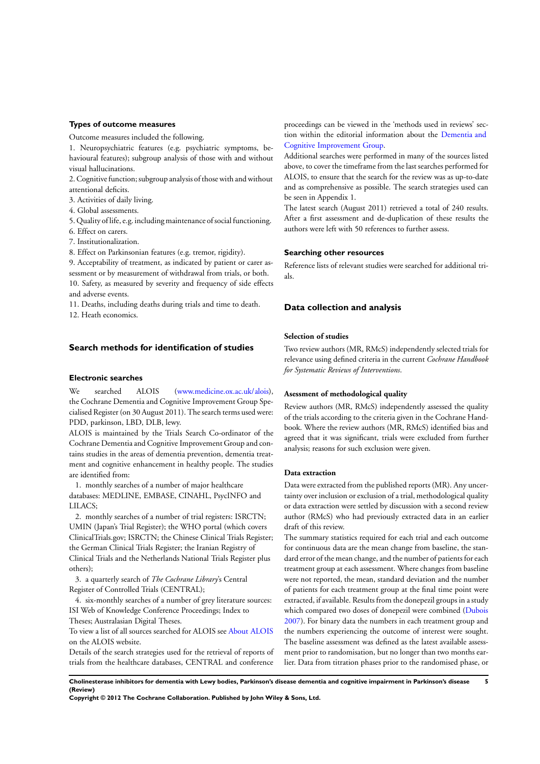# **Types of outcome measures**

Outcome measures included the following.

1. Neuropsychiatric features (e.g. psychiatric symptoms, behavioural features); subgroup analysis of those with and without visual hallucinations.

2. Cognitive function; subgroup analysis of those with and without attentional deficits.

3. Activities of daily living.

4. Global assessments.

5. Quality of life, e.g. including maintenance of social functioning.

6. Effect on carers.

7. Institutionalization.

8. Effect on Parkinsonian features (e.g. tremor, rigidity).

9. Acceptability of treatment, as indicated by patient or carer assessment or by measurement of withdrawal from trials, or both. 10. Safety, as measured by severity and frequency of side effects and adverse events.

11. Deaths, including deaths during trials and time to death.

12. Heath economics.

### **Search methods for identification of studies**

#### **Electronic searches**

We searched ALOIS ([www.medicine.ox.ac.uk/alois](http://www.medicine.ox.ac.uk/alois)), the Cochrane Dementia and Cognitive Improvement Group Specialised Register (on 30 August 2011). The search terms used were: PDD, parkinson, LBD, DLB, lewy.

ALOIS is maintained by the Trials Search Co-ordinator of the Cochrane Dementia and Cognitive Improvement Group and contains studies in the areas of dementia prevention, dementia treatment and cognitive enhancement in healthy people. The studies are identified from:

1. monthly searches of a number of major healthcare databases: MEDLINE, EMBASE, CINAHL, PsycINFO and LILACS;

2. monthly searches of a number of trial registers: ISRCTN; UMIN (Japan's Trial Register); the WHO portal (which covers ClinicalTrials.gov; ISRCTN; the Chinese Clinical Trials Register; the German Clinical Trials Register; the Iranian Registry of Clinical Trials and the Netherlands National Trials Register plus others);

3. a quarterly search of *The Cochrane Library*'s Central Register of Controlled Trials (CENTRAL);

4. six-monthly searches of a number of grey literature sources: ISI Web of Knowledge Conference Proceedings; Index to Theses; Australasian Digital Theses.

To view a list of all sources searched for ALOIS see [About ALOIS](http://www.medicine.ox.ac.uk/alois/content/about-alois) on the ALOIS website.

Details of the search strategies used for the retrieval of reports of trials from the healthcare databases, CENTRAL and conference

proceedings can be viewed in the 'methods used in reviews' section within the editorial information about the [Dementia and](http://mrw.interscience.wiley.com/cochrane/clabout/articles/DEMENTIA/frame.html) [Cognitive Improvement Group.](http://mrw.interscience.wiley.com/cochrane/clabout/articles/DEMENTIA/frame.html)

Additional searches were performed in many of the sources listed above, to cover the timeframe from the last searches performed for ALOIS, to ensure that the search for the review was as up-to-date and as comprehensive as possible. The search strategies used can be seen in Appendix 1.

The latest search (August 2011) retrieved a total of 240 results. After a first assessment and de-duplication of these results the authors were left with 50 references to further assess.

### **Searching other resources**

Reference lists of relevant studies were searched for additional trials.

### **Data collection and analysis**

### **Selection of studies**

Two review authors (MR, RMcS) independently selected trials for relevance using defined criteria in the current *Cochrane Handbook for Systematic Reviews of Interventions*.

#### **Asessment of methodological quality**

Review authors (MR, RMcS) independently assessed the quality of the trials according to the criteria given in the Cochrane Handbook. Where the review authors (MR, RMcS) identified bias and agreed that it was significant, trials were excluded from further analysis; reasons for such exclusion were given.

#### **Data extraction**

Data were extracted from the published reports (MR). Any uncertainty over inclusion or exclusion of a trial, methodological quality or data extraction were settled by discussion with a second review author (RMcS) who had previously extracted data in an earlier draft of this review.

The summary statistics required for each trial and each outcome for continuous data are the mean change from baseline, the standard error of the mean change, and the number of patients for each treatment group at each assessment. Where changes from baseline were not reported, the mean, standard deviation and the number of patients for each treatment group at the final time point were extracted, if available. Results from the donepezil groups in a study which compared two doses of donepezil were combined ([Dubois](#page-13-0) [2007](#page-13-0)). For binary data the numbers in each treatment group and the numbers experiencing the outcome of interest were sought. The baseline assessment was defined as the latest available assessment prior to randomisation, but no longer than two months earlier. Data from titration phases prior to the randomised phase, or

**Cholinesterase inhibitors for dementia with Lewy bodies, Parkinson's disease dementia and cognitive impairment in Parkinson's disease 5 (Review)**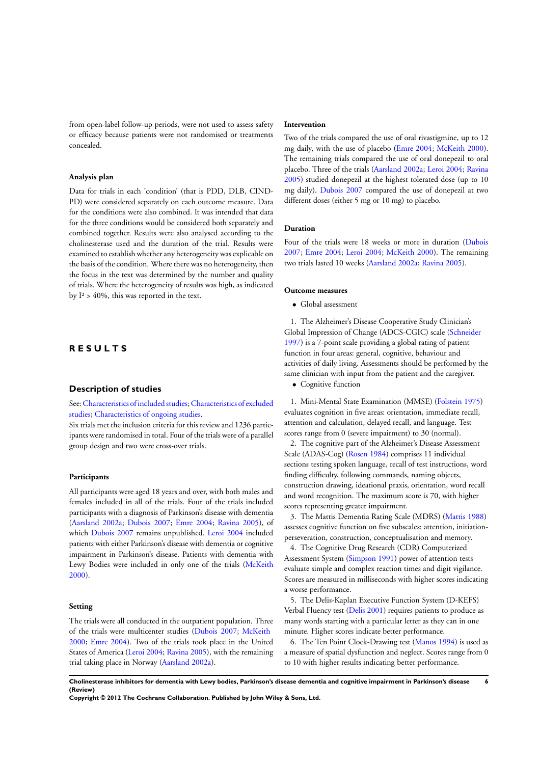from open-label follow-up periods, were not used to assess safety or efficacy because patients were not randomised or treatments concealed.

#### **Analysis plan**

Data for trials in each 'condition' (that is PDD, DLB, CIND-PD) were considered separately on each outcome measure. Data for the conditions were also combined. It was intended that data for the three conditions would be considered both separately and combined together. Results were also analysed according to the cholinesterase used and the duration of the trial. Results were examined to establish whether any heterogeneity was explicable on the basis of the condition. Where there was no heterogeneity, then the focus in the text was determined by the number and quality of trials. Where the heterogeneity of results was high, as indicated by  $I^2 > 40\%$ , this was reported in the text.

#### **R E S U L T S**

#### **Description of studies**

See:[Characteristics of included studies;](#page-19-0)[Characteristics of excluded](#page-26-0) [studies;](#page-26-0) [Characteristics of ongoing studies](#page-28-0).

Six trials met the inclusion criteria for this review and 1236 participants were randomised in total. Four of the trials were of a parallel group design and two were cross-over trials.

#### **Participants**

All participants were aged 18 years and over, with both males and females included in all of the trials. Four of the trials included participants with a diagnosis of Parkinson's disease with dementia [\(Aarsland 2002a;](#page-13-0) [Dubois 2007;](#page-13-0) [Emre 2004](#page-13-0); [Ravina 2005](#page-13-0)), of which [Dubois 2007](#page-13-0) remains unpublished. [Leroi 2004](#page-13-0) included patients with either Parkinson's disease with dementia or cognitive impairment in Parkinson's disease. Patients with dementia with Lewy Bodies were included in only one of the trials [\(McKeith](#page-13-0) [2000](#page-13-0)).

### **Setting**

The trials were all conducted in the outpatient population. Three of the trials were multicenter studies [\(Dubois 2007](#page-13-0); [McKeith](#page-13-0) [2000](#page-13-0); [Emre 2004\)](#page-13-0). Two of the trials took place in the United States of America ([Leroi 2004](#page-13-0); [Ravina 2005\)](#page-13-0), with the remaining trial taking place in Norway [\(Aarsland 2002a\)](#page-13-0).

#### **Intervention**

Two of the trials compared the use of oral rivastigmine, up to 12 mg daily, with the use of placebo ([Emre 2004](#page-13-0); [McKeith 2000](#page-13-0)). The remaining trials compared the use of oral donepezil to oral placebo. Three of the trials ([Aarsland 2002a](#page-13-0); [Leroi 2004;](#page-13-0) [Ravina](#page-13-0) [2005](#page-13-0)) studied donepezil at the highest tolerated dose (up to 10 mg daily). [Dubois 2007](#page-13-0) compared the use of donepezil at two different doses (either 5 mg or 10 mg) to placebo.

#### **Duration**

Four of the trials were 18 weeks or more in duration ([Dubois](#page-13-0) [2007](#page-13-0); [Emre 2004](#page-13-0); [Leroi 2004;](#page-13-0) [McKeith 2000\)](#page-13-0). The remaining two trials lasted 10 weeks [\(Aarsland 2002a](#page-13-0); [Ravina 2005](#page-13-0)).

#### **Outcome measures**

• Global assessment

1. The Alzheimer's Disease Cooperative Study Clinician's Global Impression of Change (ADCS-CGIC) scale [\(Schneider](#page-13-0) [1997](#page-13-0)) is a 7-point scale providing a global rating of patient function in four areas: general, cognitive, behaviour and activities of daily living. Assessments should be performed by the same clinician with input from the patient and the caregiver.

• Cognitive function

1. Mini-Mental State Examination (MMSE) ([Folstein 1975](#page-13-0)) evaluates cognition in five areas: orientation, immediate recall, attention and calculation, delayed recall, and language. Test scores range from 0 (severe impairment) to 30 (normal).

2. The cognitive part of the Alzheimer's Disease Assessment Scale (ADAS-Cog) ([Rosen 1984](#page-13-0)) comprises 11 individual sections testing spoken language, recall of test instructions, word finding difficulty, following commands, naming objects, construction drawing, ideational praxis, orientation, word recall and word recognition. The maximum score is 70, with higher scores representing greater impairment.

3. The Mattis Dementia Rating Scale (MDRS) ([Mattis 1988](#page-13-0)) assesses cognitive function on five subscales: attention, initiationperseveration, construction, conceptualisation and memory.

4. The Cognitive Drug Research (CDR) Computerized Assessment System [\(Simpson 1991\)](#page-13-0) power of attention tests evaluate simple and complex reaction times and digit vigilance. Scores are measured in milliseconds with higher scores indicating a worse performance.

5. The Delis-Kaplan Executive Function System (D-KEFS) Verbal Fluency test [\(Delis 2001\)](#page-13-0) requires patients to produce as many words starting with a particular letter as they can in one minute. Higher scores indicate better performance.

6. The Ten Point Clock-Drawing test [\(Manos 1994](#page-13-0)) is used as a measure of spatial dysfunction and neglect. Scores range from 0 to 10 with higher results indicating better performance.

**Cholinesterase inhibitors for dementia with Lewy bodies, Parkinson's disease dementia and cognitive impairment in Parkinson's disease 6 (Review)**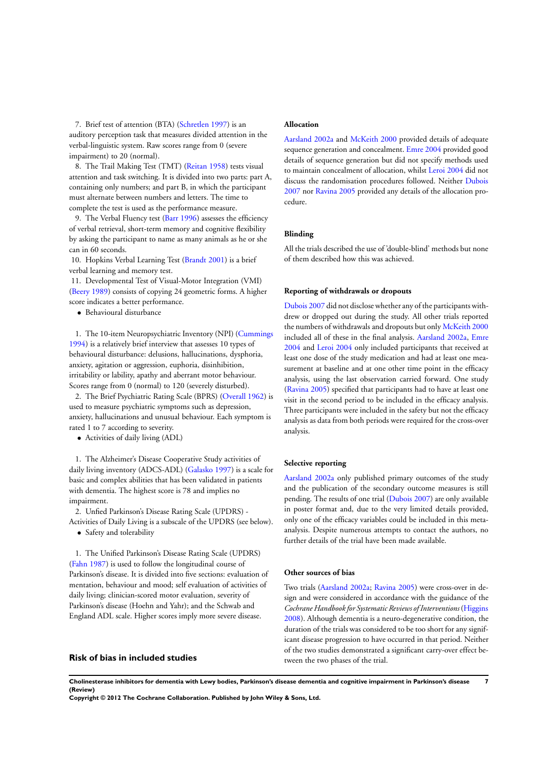7. Brief test of attention (BTA) ([Schretlen 1997](#page-13-0)) is an auditory perception task that measures divided attention in the verbal-linguistic system. Raw scores range from 0 (severe impairment) to 20 (normal).

8. The Trail Making Test (TMT) ([Reitan 1958\)](#page-13-0) tests visual attention and task switching. It is divided into two parts: part A, containing only numbers; and part B, in which the participant must alternate between numbers and letters. The time to complete the test is used as the performance measure.

9. The Verbal Fluency test ([Barr 1996\)](#page-13-0) assesses the efficiency of verbal retrieval, short-term memory and cognitive flexibility by asking the participant to name as many animals as he or she can in 60 seconds.

10. Hopkins Verbal Learning Test [\(Brandt 2001\)](#page-13-0) is a brief verbal learning and memory test.

11. Developmental Test of Visual-Motor Integration (VMI) [\(Beery 1989\)](#page-13-0) consists of copying 24 geometric forms. A higher score indicates a better performance.

• Behavioural disturbance

1. The 10-item Neuropsychiatric Inventory (NPI) [\(Cummings](#page-13-0) [1994](#page-13-0)) is a relatively brief interview that assesses 10 types of behavioural disturbance: delusions, hallucinations, dysphoria, anxiety, agitation or aggression, euphoria, disinhibition, irritability or lability, apathy and aberrant motor behaviour. Scores range from 0 (normal) to 120 (severely disturbed).

2. The Brief Psychiatric Rating Scale (BPRS) [\(Overall 1962\)](#page-13-0) is used to measure psychiatric symptoms such as depression, anxiety, hallucinations and unusual behaviour. Each symptom is rated 1 to 7 according to severity.

• Activities of daily living (ADL)

1. The Alzheimer's Disease Cooperative Study activities of daily living inventory (ADCS-ADL) ([Galasko 1997\)](#page-13-0) is a scale for basic and complex abilities that has been validated in patients with dementia. The highest score is 78 and implies no impairment.

2. Unfied Parkinson's Disease Rating Scale (UPDRS) - Activities of Daily Living is a subscale of the UPDRS (see below).

• Safety and tolerability

1. The Unified Parkinson's Disease Rating Scale (UPDRS) [\(Fahn 1987\)](#page-13-0) is used to follow the longitudinal course of Parkinson's disease. It is divided into five sections: evaluation of mentation, behaviour and mood; self evaluation of activities of daily living; clinician-scored motor evaluation, severity of Parkinson's disease (Hoehn and Yahr); and the Schwab and England ADL scale. Higher scores imply more severe disease.

### **Risk of bias in included studies**

# **Allocation**

[Aarsland 2002a](#page-13-0) and [McKeith 2000](#page-13-0) provided details of adequate sequence generation and concealment. [Emre 2004](#page-13-0) provided good details of sequence generation but did not specify methods used to maintain concealment of allocation, whilst [Leroi 2004](#page-13-0) did not discuss the randomisation procedures followed. Neither [Dubois](#page-13-0) [2007](#page-13-0) nor [Ravina 2005](#page-13-0) provided any details of the allocation procedure.

### **Blinding**

All the trials described the use of 'double-blind' methods but none of them described how this was achieved.

#### **Reporting of withdrawals or dropouts**

[Dubois 2007](#page-13-0) did not disclose whether any of the participants withdrew or dropped out during the study. All other trials reported the numbers of withdrawals and dropouts but only [McKeith 2000](#page-13-0) included all of these in the final analysis. [Aarsland 2002a](#page-13-0), [Emre](#page-13-0) [2004](#page-13-0) and [Leroi 2004](#page-13-0) only included participants that received at least one dose of the study medication and had at least one measurement at baseline and at one other time point in the efficacy analysis, using the last observation carried forward. One study [\(Ravina 2005](#page-13-0)) specified that participants had to have at least one visit in the second period to be included in the efficacy analysis. Three participants were included in the safety but not the efficacy analysis as data from both periods were required for the cross-over analysis.

#### **Selective reporting**

[Aarsland 2002a](#page-13-0) only published primary outcomes of the study and the publication of the secondary outcome measures is still pending. The results of one trial ([Dubois 2007](#page-13-0)) are only available in poster format and, due to the very limited details provided, only one of the efficacy variables could be included in this metaanalysis. Despite numerous attempts to contact the authors, no further details of the trial have been made available.

# **Other sources of bias**

Two trials [\(Aarsland 2002a;](#page-13-0) [Ravina 2005\)](#page-13-0) were cross-over in design and were considered in accordance with the guidance of the *Cochrane Handbook for Systematic Reviews of Interventions* ([Higgins](#page-13-0) [2008](#page-13-0)). Although dementia is a neuro-degenerative condition, the duration of the trials was considered to be too short for any significant disease progression to have occurred in that period. Neither of the two studies demonstrated a significant carry-over effect between the two phases of the trial.

**Cholinesterase inhibitors for dementia with Lewy bodies, Parkinson's disease dementia and cognitive impairment in Parkinson's disease 7 (Review)**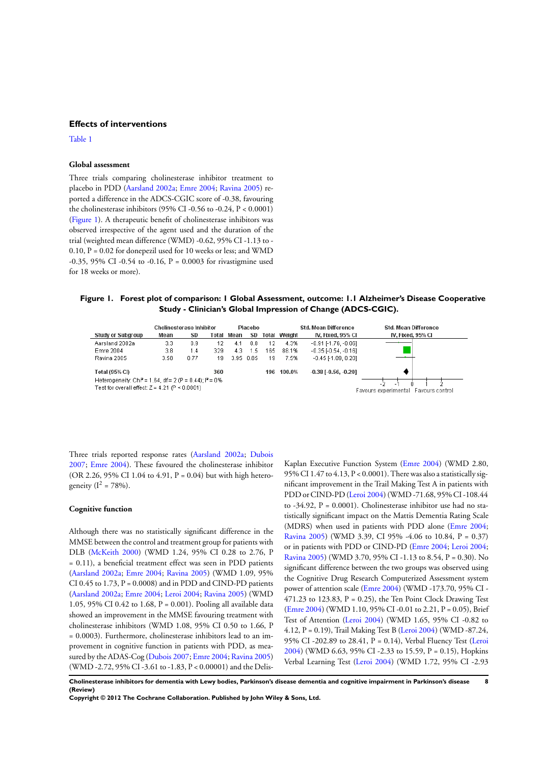### **Effects of interventions**

#### [Table 1](#page-33-0)

#### **Global assessment**

Three trials comparing cholinesterase inhibitor treatment to placebo in PDD ([Aarsland 2002a](#page-13-0); [Emre 2004](#page-13-0); [Ravina 2005\)](#page-13-0) reported a difference in the ADCS-CGIC score of -0.38, favouring the cholinesterase inhibitors (95% CI -0.56 to -0.24, P < 0.0001) (Figure 1). A therapeutic benefit of cholinesterase inhibitors was observed irrespective of the agent used and the duration of the trial (weighted mean difference (WMD) -0.62, 95% CI -1.13 to - 0.10,  $P = 0.02$  for donepezil used for 10 weeks or less; and WMD -0.35, 95% CI -0.54 to -0.16,  $P = 0.0003$  for rivastigmine used for 18 weeks or more).

# **Figure 1. Forest plot of comparison: 1 Global Assessment, outcome: 1.1 Alzheimer's Disease Cooperative Study - Clinician's Global Impression of Change (ADCS-CGIC).**

|                                                                                                                                                                      | Cholinesterase Inhibitor | Placebo |       |      |           | Std. Mean Difference | <b>Std. Mean Difference</b> |                               |                   |
|----------------------------------------------------------------------------------------------------------------------------------------------------------------------|--------------------------|---------|-------|------|-----------|----------------------|-----------------------------|-------------------------------|-------------------|
| Study or Subgroup                                                                                                                                                    | Mean                     | SD      | Total | Mean | SD        |                      | <b>Total Weight</b>         | IV, Fixed, 95% CI             | IV, Fixed, 95% CI |
| Aarsland 2002a                                                                                                                                                       | 3.3                      | 0.9     | 12    | 4.1  | 0.8       | 12                   | 4.3%                        | $-0.91$ F1.76, $-0.061$       |                   |
| Emre 2004                                                                                                                                                            | 3.8                      | 1.4     | 329   | 4.3  | 1.5       | 165                  | 88.1%                       | $-0.35$ $[-0.54, -0.16]$      |                   |
| Ravina 2005                                                                                                                                                          | 3.58                     | 0.77    | 19    |      | 3.95 0.85 | 19                   | 7.5%                        | $-0.45$ $-1.09$ , $0.201$     |                   |
| Total (95% CI)                                                                                                                                                       |                          |         | 360   |      |           | 196                  | 100.0%                      | $-0.38$ [ $-0.56$ , $-0.20$ ] |                   |
| Heterogeneity: Chi <sup>2</sup> = 1.64, df = 2 (P = 0.44); $P = 0\%$<br><br>Test for overall effect: $Z = 4.21$ (P < 0.0001)<br>Favours experimental Favours control |                          |         |       |      |           |                      |                             |                               |                   |

Three trials reported response rates ([Aarsland 2002a](#page-13-0); [Dubois](#page-13-0) [2007](#page-13-0); [Emre 2004\)](#page-13-0). These favoured the cholinesterase inhibitor (OR 2.26, 95% CI 1.04 to 4.91,  $P = 0.04$ ) but with high heterogeneity ( $I^2 = 78\%$ ).

#### **Cognitive function**

Although there was no statistically significant difference in the MMSE between the control and treatment group for patients with DLB [\(McKeith 2000\)](#page-13-0) (WMD 1.24, 95% CI 0.28 to 2.76, P = 0.11), a beneficial treatment effect was seen in PDD patients [\(Aarsland 2002a;](#page-13-0) [Emre 2004](#page-13-0); [Ravina 2005](#page-13-0)) (WMD 1.09, 95% CI 0.45 to 1.73,  $P = 0.0008$ ) and in PDD and CIND-PD patients [\(Aarsland 2002a](#page-13-0); [Emre 2004](#page-13-0); [Leroi 2004](#page-13-0); [Ravina 2005](#page-13-0)) (WMD 1.05, 95% CI 0.42 to 1.68, P = 0.001). Pooling all available data showed an improvement in the MMSE favouring treatment with cholinesterase inhibitors (WMD 1.08, 95% CI 0.50 to 1.66, P = 0.0003). Furthermore, cholinesterase inhibitors lead to an improvement in cognitive function in patients with PDD, as measured by the ADAS-Cog ([Dubois 2007;](#page-13-0) [Emre 2004;](#page-13-0) [Ravina 2005](#page-13-0)) (WMD -2.72, 95% CI -3.61 to -1.83, P < 0.00001) and the Delis-

Kaplan Executive Function System ([Emre 2004\)](#page-13-0) (WMD 2.80, 95% CI 1.47 to 4.13, P < 0.0001). There was also a statistically significant improvement in the Trail Making Test A in patients with PDD or CIND-PD ([Leroi 2004\)](#page-13-0) (WMD -71.68, 95% CI -108.44 to  $-34.92$ ,  $P = 0.0001$ ). Cholinesterase inhibitor use had no statistically significant impact on the Mattis Dementia Rating Scale (MDRS) when used in patients with PDD alone ([Emre 2004;](#page-13-0) [Ravina 2005](#page-13-0)) (WMD 3.39, CI 95% -4.06 to 10.84, P = 0.37) or in patients with PDD or CIND-PD ([Emre 2004;](#page-13-0) [Leroi 2004;](#page-13-0) [Ravina 2005](#page-13-0)) (WMD 3.70, 95% CI -1.13 to 8.54, P = 0.30). No significant difference between the two groups was observed using the Cognitive Drug Research Computerized Assessment system power of attention scale [\(Emre 2004](#page-13-0)) (WMD -173.70, 95% CI -  $471.23$  to  $123.83$ ,  $P = 0.25$ ), the Ten Point Clock Drawing Test [\(Emre 2004\)](#page-13-0) (WMD 1.10, 95% CI -0.01 to 2.21, P = 0.05), Brief Test of Attention [\(Leroi 2004\)](#page-13-0) (WMD 1.65, 95% CI -0.82 to 4.12, P = 0.19), Trail Making Test B [\(Leroi 2004](#page-13-0)) (WMD -87.24, 95% CI -202.89 to 28.41, P = 0.14), Verbal Fluency Test [\(Leroi](#page-13-0) [2004](#page-13-0)) (WMD 6.63, 95% CI -2.33 to 15.59, P = 0.15), Hopkins Verbal Learning Test [\(Leroi 2004](#page-13-0)) (WMD 1.72, 95% CI -2.93

**Cholinesterase inhibitors for dementia with Lewy bodies, Parkinson's disease dementia and cognitive impairment in Parkinson's disease 8 (Review)**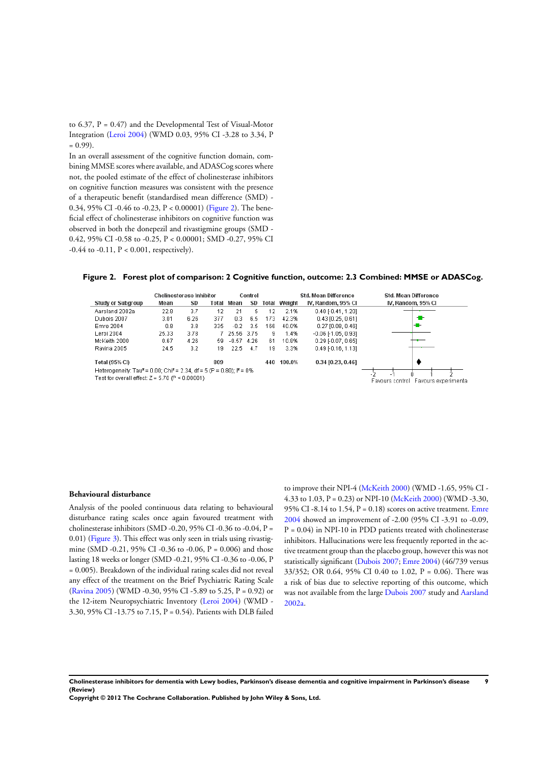to 6.37, P = 0.47) and the Developmental Test of Visual-Motor Integration [\(Leroi 2004](#page-13-0)) (WMD 0.03, 95% CI -3.28 to 3.34, P  $= 0.99$ ).

In an overall assessment of the cognitive function domain, combining MMSE scores where available, and ADASCog scores where not, the pooled estimate of the effect of cholinesterase inhibitors on cognitive function measures was consistent with the presence of a therapeutic benefit (standardised mean difference (SMD) - 0.34, 95% CI -0.46 to -0.23, P < 0.00001) (Figure 2). The beneficial effect of cholinesterase inhibitors on cognitive function was observed in both the donepezil and rivastigmine groups (SMD - 0.42, 95% CI -0.58 to -0.25, P < 0.00001; SMD -0.27, 95% CI  $-0.44$  to  $-0.11$ ,  $P < 0.001$ , respectively).

|  |  |  | Figure 2.   Forest plot of comparison: 2 Cognitive function, outcome: 2.3 Combined: MMSE or ADASCog. |  |  |  |  |
|--|--|--|------------------------------------------------------------------------------------------------------|--|--|--|--|
|--|--|--|------------------------------------------------------------------------------------------------------|--|--|--|--|

|                                                                                               | Cholinesterase Inhibitor |      |       |         | Control |       |        | <b>Std. Mean Difference</b>         | <b>Std. Mean Difference</b> |
|-----------------------------------------------------------------------------------------------|--------------------------|------|-------|---------|---------|-------|--------|-------------------------------------|-----------------------------|
| Study or Subgroup                                                                             | Mean                     | SD   | Total | Mean    | SD      | Total | Weight | IV, Random, 95% CI                  | IV, Random, 95% CI          |
| Aarsland 2002a                                                                                | 22.8                     | 3.7  | 12    | 21      | 5       | 12    | 2.1%   | $0.40$ FO.41, 1.201                 |                             |
| Dubois 2007                                                                                   | 3.01                     | 6.26 | 377   | 0.3     | 6.5     | 173   | 42.3%  | $0.43$ [0.25, 0.61]                 | H.                          |
| Emre 2004                                                                                     | 0.8                      | 3.8  | 335.  | $-0.2$  | 3.5     | 166   | 40.0%  | $0.27$ [0.08, 0.46]                 | ÷                           |
| Leroi 2004                                                                                    | 25.33                    | 3.78 |       | 7 25.56 | 3.75    | g     | 1.4%   | $-0.06$ F1.05, 0.931                |                             |
| McKeith 2000                                                                                  | 0.67                     | 4.26 | 59.   | $-0.57$ | 4.26    | -61   | 10.8%  | $0.29$ [-0.07, 0.65]                |                             |
| Ravina 2005                                                                                   | 24.5                     | 3.2  | 19    | 22.5    | 4.7     | 19    | 3.3%   | $0.49$ [-0.16, 1.13]                |                             |
| Total (95% CI)                                                                                |                          |      | 809   |         |         | 440   | 100.0% | 0.34 [0.23, 0.46]                   |                             |
| Heterogeneity: Tau <sup>2</sup> = 0.00; Chi <sup>2</sup> = 2.34, df = 5 (P = 0.80); $P = 0\%$ |                          |      |       |         |         |       |        | - 1                                 |                             |
| Test for overall effect: $Z = 5.70$ (P $\leq 0.00001$ )                                       |                          |      |       |         |         |       |        | Favours control Favours experimenta |                             |

### **Behavioural disturbance**

Analysis of the pooled continuous data relating to behavioural disturbance rating scales once again favoured treatment with cholinesterase inhibitors (SMD -0.20, 95% CI -0.36 to -0.04, P = 0.01) ([Figure 3\)](#page-11-0). This effect was only seen in trials using rivastigmine (SMD -0.21, 95% CI -0.36 to -0.06, P = 0.006) and those lasting 18 weeks or longer (SMD -0.21, 95% CI -0.36 to -0.06, P = 0.005). Breakdown of the individual rating scales did not reveal any effect of the treatment on the Brief Psychiatric Rating Scale [\(Ravina 2005](#page-13-0)) (WMD -0.30, 95% CI -5.89 to 5.25, P = 0.92) or the 12-item Neuropsychiatric Inventory [\(Leroi 2004](#page-13-0)) (WMD - 3.30, 95% CI -13.75 to 7.15, P = 0.54). Patients with DLB failed to improve their NPI-4 [\(McKeith 2000](#page-13-0)) (WMD -1.65, 95% CI - 4.33 to 1.03, P = 0.23) or NPI-10 [\(McKeith 2000](#page-13-0)) (WMD -3.30, 95% CI -8.14 to 1.54,  $P = 0.18$ ) scores on active treatment. [Emre](#page-13-0) [2004](#page-13-0) showed an improvement of -2.00 (95% CI -3.91 to -0.09,  $P = 0.04$ ) in NPI-10 in PDD patients treated with cholinesterase inhibitors. Hallucinations were less frequently reported in the active treatment group than the placebo group, however this was not statistically significant ([Dubois 2007](#page-13-0); [Emre 2004](#page-13-0)) (46/739 versus 33/352; OR 0.64, 95% CI 0.40 to 1.02, P = 0.06). There was a risk of bias due to selective reporting of this outcome, which was not available from the large [Dubois 2007](#page-13-0) study and [Aarsland](#page-13-0) [2002a.](#page-13-0)

**Cholinesterase inhibitors for dementia with Lewy bodies, Parkinson's disease dementia and cognitive impairment in Parkinson's disease 9 (Review)**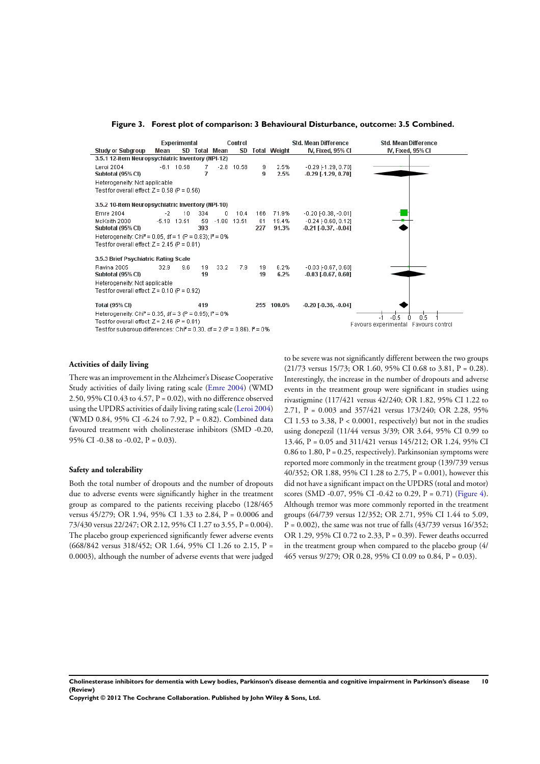<span id="page-11-0"></span>**Figure 3. Forest plot of comparison: 3 Behavioural Disturbance, outcome: 3.5 Combined.**

|                                                                            |      | Experimental  |     |               | Control      |        |                     | <b>Std. Mean Difference</b>                           | <b>Std. Mean Difference</b>          |
|----------------------------------------------------------------------------|------|---------------|-----|---------------|--------------|--------|---------------------|-------------------------------------------------------|--------------------------------------|
| <b>Study or Subgroup</b>                                                   | Mean |               |     | SD Total Mean | SD           |        | <b>Total Weight</b> | IV, Fixed, 95% CI                                     | IV, Fixed, 95% CI                    |
| 3.5.1 12-item Neuropsychiatric Inventory (NPI-12)                          |      |               |     |               |              |        |                     |                                                       |                                      |
| Leroi 2004<br>Subtotal (95% CI)                                            |      | $-6.1$ 10.58  | 7.  |               | $-2.8$ 10.58 | 9<br>9 | 2.5%<br>2.5%        | $-0.29$ [-1.29, 0.70]<br>$-0.29$ [ $-1.29$ , $0.70$ ] |                                      |
| Heterogeneity: Not applicable                                              |      |               |     |               |              |        |                     |                                                       |                                      |
| Test for overall effect: $Z = 0.58$ (P = 0.56)                             |      |               |     |               |              |        |                     |                                                       |                                      |
|                                                                            |      |               |     |               |              |        |                     |                                                       |                                      |
| 3.5.2 10-item Neuropsychiatric Inventory (NPI-10)                          |      |               |     |               |              |        |                     |                                                       |                                      |
| Emre 2004                                                                  | $-2$ | 10            | 334 | 0             | 10.4         | 166    | 71.9%               | $-0.20$ [ $-0.38$ , $-0.01$ ]                         |                                      |
| McKeith 2000                                                               |      | $-5.18$ 13.51 | 59  | $-1.88$       | 13.51        | 61     | 19.4%               | $-0.24$ [ $-0.60$ , $0.12$ ]                          |                                      |
| Subtotal (95% CI)                                                          |      |               | 393 |               |              | 227    | 91.3%               | $-0.21$ [ $-0.37$ , $-0.04$ ]                         |                                      |
| Heterogeneity: Chi <sup>2</sup> = 0.05, df = 1 (P = 0.83); $P = 0\%$       |      |               |     |               |              |        |                     |                                                       |                                      |
| Test for overall effect: $Z = 2.45$ (P = 0.01)                             |      |               |     |               |              |        |                     |                                                       |                                      |
| 3.5.3 Brief Psychiatric Rating Scale                                       |      |               |     |               |              |        |                     |                                                       |                                      |
| Ravina 2005                                                                | 32.9 | 9.6           | 19  | 33.2          | 7.9          | 19     | 6.2%                | $-0.03$ $[-0.67, 0.60]$                               |                                      |
| Subtotal (95% CI)                                                          |      |               | 19  |               |              | 19     | 6.2%                | $-0.03$ [ $-0.67, 0.60$ ]                             |                                      |
| Heterogeneity: Not applicable                                              |      |               |     |               |              |        |                     |                                                       |                                      |
| Test for overall effect: $Z = 0.10$ (P = 0.92)                             |      |               |     |               |              |        |                     |                                                       |                                      |
|                                                                            |      |               |     |               |              |        |                     |                                                       |                                      |
| <b>Total (95% CI)</b>                                                      |      |               | 419 |               |              |        | 255 100.0%          | $-0.20$ [ $-0.36, -0.04$ ]                            |                                      |
| Heterogeneity: Chi <sup>2</sup> = 0.35, df = 3 (P = 0.95); $P = 0\%$       |      |               |     |               |              |        |                     |                                                       |                                      |
| Test for overall effect: $Z = 2.46$ (P = 0.01)                             |      |               |     |               |              |        |                     |                                                       | 0.5<br>$-0.5$<br>-1<br>n             |
| Test for subgroup differences: Chif = 0.30, df = 2 (P = 0.86), $P = 0\%$ . |      |               |     |               |              |        |                     |                                                       | Favours experimental Favours control |

## **Activities of daily living**

There was an improvement in the Alzheimer's Disease Cooperative Study activities of daily living rating scale ([Emre 2004\)](#page-13-0) (WMD 2.50, 95% CI 0.43 to 4.57, P = 0.02), with no difference observed using the UPDRS activities of daily living rating scale ([Leroi 2004](#page-13-0)) (WMD 0.84, 95% CI -6.24 to 7.92, P = 0.82). Combined data favoured treatment with cholinesterase inhibitors (SMD -0.20, 95% CI -0.38 to -0.02,  $P = 0.03$ ).

#### **Safety and tolerability**

Both the total number of dropouts and the number of dropouts due to adverse events were significantly higher in the treatment group as compared to the patients receiving placebo (128/465 versus 45/279; OR 1.94, 95% CI 1.33 to 2.84, P = 0.0006 and 73/430 versus 22/247; OR 2.12, 95% CI 1.27 to 3.55, P = 0.004). The placebo group experienced significantly fewer adverse events (668/842 versus 318/452; OR 1.64, 95% CI 1.26 to 2.15, P = 0.0003), although the number of adverse events that were judged to be severe was not significantly different between the two groups (21/73 versus 15/73; OR 1.60, 95% CI 0.68 to 3.81, P = 0.28). Interestingly, the increase in the number of dropouts and adverse events in the treatment group were significant in studies using rivastigmine (117/421 versus 42/240; OR 1.82, 95% CI 1.22 to 2.71, P = 0.003 and 357/421 versus 173/240; OR 2.28, 95% CI 1.53 to 3.38, P < 0.0001, respectively) but not in the studies using donepezil (11/44 versus 3/39; OR 3.64, 95% CI 0.99 to 13.46, P = 0.05 and 311/421 versus 145/212; OR 1.24, 95% CI 0.86 to 1.80, P = 0.25, respectively). Parkinsonian symptoms were reported more commonly in the treatment group (139/739 versus 40/352; OR 1.88, 95% CI 1.28 to 2.75, P = 0.001), however this did not have a significant impact on the UPDRS (total and motor) scores (SMD -0.07, 95% CI -0.42 to 0.29,  $P = 0.71$ ) [\(Figure 4](#page-12-0)). Although tremor was more commonly reported in the treatment groups (64/739 versus 12/352; OR 2.71, 95% CI 1.44 to 5.09,  $P = 0.002$ ), the same was not true of falls (43/739 versus 16/352; OR 1.29, 95% CI 0.72 to 2.33, P = 0.39). Fewer deaths occurred in the treatment group when compared to the placebo group (4/ 465 versus 9/279; OR 0.28, 95% CI 0.09 to 0.84, P = 0.03).

**Cholinesterase inhibitors for dementia with Lewy bodies, Parkinson's disease dementia and cognitive impairment in Parkinson's disease 10 (Review)**

**Copyright © 2012 The Cochrane Collaboration. Published by John Wiley & Sons, Ltd.**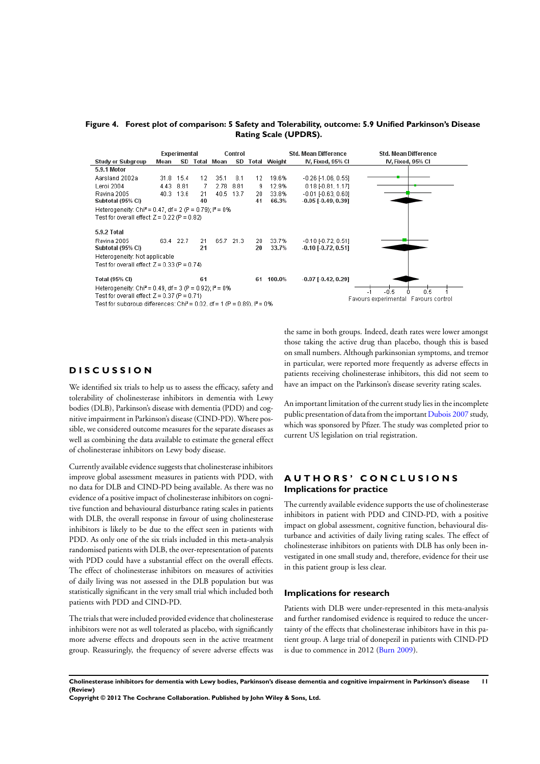<span id="page-12-0"></span>

| Figure 4. Forest plot of comparison: 5 Safety and Tolerability, outcome: 5.9 Unified Parkinson's Disease |
|----------------------------------------------------------------------------------------------------------|
| <b>Rating Scale (UPDRS).</b>                                                                             |

|                                                                                                                              |      | Experimental |    |            | Control   |     |                     | <b>Std. Mean Difference</b>  | <b>Std. Mean Difference</b> |
|------------------------------------------------------------------------------------------------------------------------------|------|--------------|----|------------|-----------|-----|---------------------|------------------------------|-----------------------------|
| <b>Study or Subgroup</b>                                                                                                     | Mean | SD.          |    | Total Mean | SD        |     | <b>Total Weight</b> | IV, Fixed, 95% CI            | IV, Fixed, 95% CI           |
| 5.9.1 Motor                                                                                                                  |      |              |    |            |           |     |                     |                              |                             |
| Aarsland 2002a                                                                                                               | 31.8 | 15.4         | 12 | 35.1       | 8.1       | 12  | 19.6%               | $-0.26$ [-1.06, 0.55]        |                             |
| Leroi 2004                                                                                                                   | 4.43 | -8.81        | 7  |            | 2.78 8.81 | 9.  | 12.9%               | $0.18$ [-0.81, 1.17]         |                             |
| Ravina 2005                                                                                                                  |      | 40.3 13.6    | 21 |            | 40.5 13.7 | 20. | 33.8%               | $-0.01$ $[-0.63, 0.60]$      |                             |
| Subtotal (95% CI)                                                                                                            |      |              | 40 |            |           | 41  | 66.3%               | $-0.05$ [ $-0.49, 0.39$ ]    |                             |
| Heterogeneity: Chi <sup>2</sup> = 0.47, df = 2 (P = 0.79); $P = 0\%$                                                         |      |              |    |            |           |     |                     |                              |                             |
| Test for overall effect: $Z = 0.22$ (P = 0.82)                                                                               |      |              |    |            |           |     |                     |                              |                             |
|                                                                                                                              |      |              |    |            |           |     |                     |                              |                             |
| <b>5.9.2 Total</b>                                                                                                           |      |              |    |            |           |     |                     |                              |                             |
| Ravina 2005                                                                                                                  |      | 63.4 22.7    | 21 |            | 65.7 21.3 | 20. | 33.7%               | $-0.10[-0.72, 0.51]$         |                             |
| Subtotal (95% CI)                                                                                                            |      |              | 21 |            |           | 20  | 33.7%               | $-0.10$ [ $-0.72$ , $0.51$ ] |                             |
| Heterogeneity: Not applicable                                                                                                |      |              |    |            |           |     |                     |                              |                             |
| Test for overall effect: $Z = 0.33$ (P = 0.74)                                                                               |      |              |    |            |           |     |                     |                              |                             |
|                                                                                                                              |      |              |    |            |           |     |                     |                              |                             |
| <b>Total (95% CI)</b>                                                                                                        |      |              | 61 |            |           | 61  | 100.0%              | $-0.07$ [ $-0.42$ , 0.29]    |                             |
| Heterogeneity: Chi <sup>2</sup> = 0.49, df = 3 (P = 0.92); $P = 0\%$                                                         |      |              |    |            |           |     |                     |                              | $-0.5$<br>0.5               |
| Test for overall effect: $Z = 0.37$ (P = 0.71)                                                                               |      |              |    |            |           |     |                     |                              |                             |
| Favours experimental Favours control<br>Test for subgroup differences: Chi <sup>2</sup> = 0.02, df = 1 (P = 0.89), $P = 0\%$ |      |              |    |            |           |     |                     |                              |                             |

**D I S C U S S I O N**

We identified six trials to help us to assess the efficacy, safety and tolerability of cholinesterase inhibitors in dementia with Lewy bodies (DLB), Parkinson's disease with dementia (PDD) and cognitive impairment in Parkinson's disease (CIND-PD). Where possible, we considered outcome measures for the separate diseases as well as combining the data available to estimate the general effect of cholinesterase inhibitors on Lewy body disease.

Currently available evidence suggests that cholinesterase inhibitors improve global assessment measures in patients with PDD, with no data for DLB and CIND-PD being available. As there was no evidence of a positive impact of cholinesterase inhibitors on cognitive function and behavioural disturbance rating scales in patients with DLB, the overall response in favour of using cholinesterase inhibitors is likely to be due to the effect seen in patients with PDD. As only one of the six trials included in this meta-analysis randomised patients with DLB, the over-representation of patents with PDD could have a substantial effect on the overall effects. The effect of cholinesterase inhibitors on measures of activities of daily living was not assessed in the DLB population but was statistically significant in the very small trial which included both patients with PDD and CIND-PD.

The trials that were included provided evidence that cholinesterase inhibitors were not as well tolerated as placebo, with significantly more adverse effects and dropouts seen in the active treatment group. Reassuringly, the frequency of severe adverse effects was the same in both groups. Indeed, death rates were lower amongst those taking the active drug than placebo, though this is based on small numbers. Although parkinsonian symptoms, and tremor in particular, were reported more frequently as adverse effects in patients receiving cholinesterase inhibitors, this did not seem to have an impact on the Parkinson's disease severity rating scales.

An important limitation of the current study lies in the incomplete public presentation of data from the important [Dubois 2007](#page-13-0) study, which was sponsored by Pfizer. The study was completed prior to current US legislation on trial registration.

# **A U T H O R S ' C O N C L U S I O N S Implications for practice**

The currently available evidence supports the use of cholinesterase inhibitors in patient with PDD and CIND-PD, with a positive impact on global assessment, cognitive function, behavioural disturbance and activities of daily living rating scales. The effect of cholinesterase inhibitors on patients with DLB has only been investigated in one small study and, therefore, evidence for their use in this patient group is less clear.

#### **Implications for research**

Patients with DLB were under-represented in this meta-analysis and further randomised evidence is required to reduce the uncertainty of the effects that cholinesterase inhibitors have in this patient group. A large trial of donepezil in patients with CIND-PD is due to commence in 2012 [\(Burn 2009](#page-13-0)).

**Cholinesterase inhibitors for dementia with Lewy bodies, Parkinson's disease dementia and cognitive impairment in Parkinson's disease 11 (Review)**

**Copyright © 2012 The Cochrane Collaboration. Published by John Wiley & Sons, Ltd.**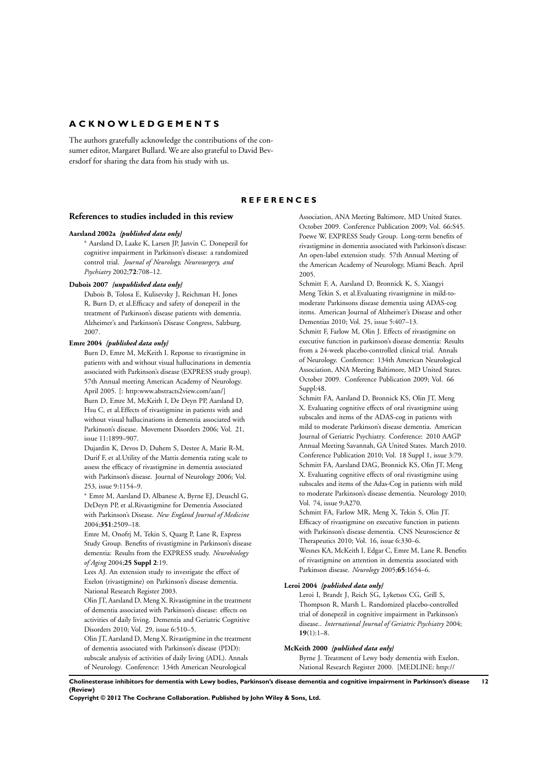# <span id="page-13-0"></span>**A C K N O W L E D G E M E N T S**

The authors gratefully acknowledge the contributions of the consumer editor, Margaret Bullard. We are also grateful to David Beversdorf for sharing the data from his study with us.

### **R E F E R E N C E S**

#### **References to studies included in this review**

#### **Aarsland 2002a** *{published data only}*

<sup>∗</sup> Aarsland D, Laake K, Larsen JP, Janvin C. Donepezil for cognitive impairment in Parkinson's disease: a randomized control trial. *Journal of Neurology, Neurosurgery, and Psychiatry* 2002;**72**:708–12.

#### **Dubois 2007** *{unpublished data only}*

Dubois B, Tolosa E, Kulisevsky J, Reichman H, Jones R, Burn D, et al.Efficacy and safety of donepezil in the treatment of Parkinson's disease patients with dementia. Alzheimer's and Parkinson's Disease Congress, Salzburg. 2007.

#### **Emre 2004** *{published data only}*

Burn D, Emre M, McKeith I. Reponse to rivastigmine in patients with and without visual hallucinations in dementia associated with Parkinson's disease (EXPRESS study group). 57th Annual meeting American Academy of Neurology. April 2005. [: http:www.abstracts2view.com/aan/]

Burn D, Emre M, McKeith I, De Deyn PP, Aarsland D, Hsu C, et al.Effects of rivastigmine in patients with and without visual hallucinations in dementia associated with Parkinson's disease. Movement Disorders 2006; Vol. 21, issue 11:1899–907.

Dujardin K, Devos D, Duhem S, Destee A, Marie R-M, Durif F, et al.Utility of the Mattis dementia rating scale to assess the efficacy of rivastigmine in dementia associated with Parkinson's disease. Journal of Neurology 2006; Vol. 253, issue 9:1154–9.

<sup>∗</sup> Emre M, Aarsland D, Albanese A, Byrne EJ, Deuschl G, DeDeyn PP, et al.Rivastigmine for Dementia Associated with Parkinson's Disease. *New England Journal of Medicine* 2004;**351**:2509–18.

Emre M, Onofrj M, Tekin S, Quarg P, Lane R, Express Study Group. Benefits of rivastigmine in Parkinson's disease dementia: Results from the EXPRESS study. *Neurobiology of Aging* 2004;**25 Suppl 2**:19.

Lees AJ. An extension study to investigate the effect of Exelon (rivastigmine) on Parkinson's disease dementia. National Research Register 2003.

Olin JT, Aarsland D, Meng X. Rivastigmine in the treatment of dementia associated with Parkinson's disease: effects on activities of daily living. Dementia and Geriatric Cognitive Disorders 2010; Vol. 29, issue 6:510–5.

Olin JT, Aarsland D, Meng X. Rivastigmine in the treatment of dementia associated with Parkinson's disease (PDD): subscale analysis of activities of daily living (ADL). Annals of Neurology. Conference: 134th American Neurological

Association, ANA Meeting Baltimore, MD United States. October 2009. Conference Publication 2009; Vol. 66:S45. Poewe W, EXPRESS Study Group. Long-term benefits of rivastigmine in dementia associated with Parkinson's disease: An open-label extension study. 57th Annual Meeting of the American Academy of Neurology, Miami Beach. April 2005.

Schmitt F, A, Aarsland D, Bronnick K, S, Xiangyi Meng Tekin S, et al.Evaluating rivastigmine in mild-tomoderate Parkinsons disease dementia using ADAS-cog items. American Journal of Alzheimer's Disease and other Dementias 2010; Vol. 25, issue 5:407–13.

Schmitt F, Farlow M, Olin J. Effects of rivastigmine on executive function in parkinson's disease dementia: Results from a 24-week placebo-controlled clinical trial. Annals of Neurology. Conference: 134th American Neurological Association, ANA Meeting Baltimore, MD United States. October 2009. Conference Publication 2009; Vol. 66 Suppl:48.

Schmitt FA, Aarsland D, Bronnick KS, Olin JT, Meng X. Evaluating cognitive effects of oral rivastigmine using subscales and items of the ADAS-cog in patients with mild to moderate Parkinson's disease dementia. American Journal of Geriatric Psychiatry. Conference: 2010 AAGP Annual Meeting Savannah, GA United States. March 2010. Conference Publication 2010; Vol. 18 Suppl 1, issue 3:79. Schmitt FA, Aarsland DAG, Bronnick KS, Olin JT, Meng X. Evaluating cognitive effects of oral rivastigmine using subscales and items of the Adas-Cog in patients with mild to moderate Parkinson's disease dementia. Neurology 2010; Vol. 74, issue 9:A270.

Schmitt FA, Farlow MR, Meng X, Tekin S, Olin JT. Efficacy of rivastigmine on executive function in patients with Parkinson's disease dementia. CNS Neuroscience & Therapeutics 2010; Vol. 16, issue 6:330–6. Wesnes KA, McKeith I, Edgar C, Emre M, Lane R. Benefits of rivastigmine on attention in dementia associated with Parkinson disease. *Neurology* 2005;**65**:1654–6.

#### **Leroi 2004** *{published data only}*

Leroi I, Brandt J, Reich SG, Lyketsos CG, Grill S, Thompson R, Marsh L. Randomized placebo-controlled trial of donepezil in cognitive impairment in Parkinson's disease.. *International Journal of Geriatric Psychiatry* 2004; **19**(1):1–8.

#### **McKeith 2000** *{published data only}*

Byrne J. Treatment of Lewy body dementia with Exelon. National Research Register 2000. [MEDLINE: http://

**Cholinesterase inhibitors for dementia with Lewy bodies, Parkinson's disease dementia and cognitive impairment in Parkinson's disease 12 (Review)**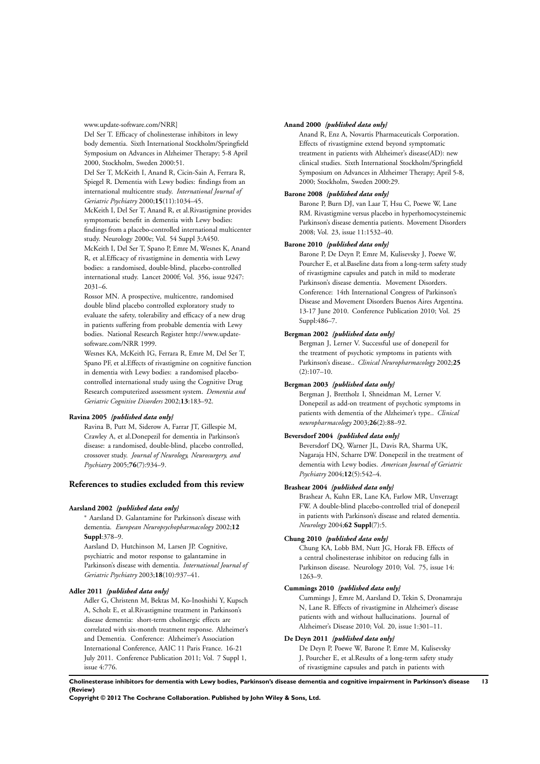www.update-software.com/NRR]

Del Ser T. Efficacy of cholinesterase inhibitors in lewy body dementia. Sixth International Stockholm/Springfield Symposium on Advances in Alzheimer Therapy; 5-8 April 2000, Stockholm, Sweden 2000:51.

Del Ser T, McKeith I, Anand R, Cicin-Sain A, Ferrara R, Spiegel R. Dementia with Lewy bodies: findings from an international multicentre study. *International Journal of Geriatric Psychiatry* 2000;**15**(11):1034–45.

McKeith I, Del Ser T, Anand R, et al.Rivastigmine provides symptomatic benefit in dementia with Lewy bodies: findings from a placebo-controlled international multicenter study. Neurology 2000e; Vol. 54 Suppl 3:A450.

McKeith I, Del Ser T, Spano P, Emre M, Wesnes K, Anand R, et al.Efficacy of rivastigmine in dementia with Lewy bodies: a randomised, double-blind, placebo-controlled international study. Lancet 2000f; Vol. 356, issue 9247: 2031–6.

Rossor MN. A prospective, multicentre, randomised double blind placebo controlled exploratory study to evaluate the safety, tolerability and efficacy of a new drug in patients suffering from probable dementia with Lewy bodies. National Research Register http://www.updatesoftware.com/NRR 1999.

Wesnes KA, McKeith IG, Ferrara R, Emre M, Del Ser T, Spano PF, et al.Effects of rivastigmine on cognitive function in dementia with Lewy bodies: a randomised placebocontrolled international study using the Cognitive Drug Research computerized assessment system. *Dementia and Geriatric Cognitive Disorders* 2002;**13**:183–92.

#### **Ravina 2005** *{published data only}*

Ravina B, Putt M, Siderow A, Farrar JT, Gillespie M, Crawley A, et al.Donepezil for dementia in Parkinson's disease: a randomised, double-blind, placebo controlled, crossover study. *Journal of Neurology, Neurosurgery, and Psychiatry* 2005;**76**(7):934–9.

### **References to studies excluded from this review**

#### **Aarsland 2002** *{published data only}*

<sup>∗</sup> Aarsland D. Galantamine for Parkinson's disease with dementia. *European Neuropsychopharmacology* 2002;**12 Suppl**:378–9.

Aarsland D, Hutchinson M, Larsen JP. Cognitive, psychiatric and motor response to galantamine in Parkinson's disease with dementia. *International Journal of Geriatric Psychiatry* 2003;**18**(10):937–41.

#### **Adler 2011** *{published data only}*

Adler G, Christenn M, Bektas M, Ko-Inoshishi Y, Kupsch A, Scholz E, et al.Rivastigmine treatment in Parkinson's disease dementia: short-term cholinergic effects are correlated with six-month treatment response. Alzheimer's and Dementia. Conference: Alzheimer's Association International Conference, AAIC 11 Paris France. 16-21 July 2011. Conference Publication 2011; Vol. 7 Suppl 1, issue 4:776.

#### **Anand 2000** *{published data only}*

Anand R, Enz A, Novartis Pharmaceuticals Corporation. Effects of rivastigmine extend beyond symptomatic treatment in patients with Alzheimer's disease(AD): new clinical studies. Sixth International Stockholm/Springfield Symposium on Advances in Alzheimer Therapy; April 5-8, 2000; Stockholm, Sweden 2000:29.

# **Barone 2008** *{published data only}*

Barone P, Burn DJ, van Laar T, Hsu C, Poewe W, Lane RM. Rivastigmine versus placebo in hyperhomocysteinemic Parkinson's disease dementia patients. Movement Disorders 2008; Vol. 23, issue 11:1532–40.

#### **Barone 2010** *{published data only}*

Barone P, De Deyn P, Emre M, Kulisevsky J, Poewe W, Pourcher E, et al.Baseline data from a long-term safety study of rivastigmine capsules and patch in mild to moderate Parkinson's disease dementia. Movement Disorders. Conference: 14th International Congress of Parkinson's Disease and Movement Disorders Buenos Aires Argentina. 13-17 June 2010. Conference Publication 2010; Vol. 25 Suppl:486–7.

#### **Bergman 2002** *{published data only}*

Bergman J, Lerner V. Successful use of donepezil for the treatment of psychotic symptoms in patients with Parkinson's disease.. *Clinical Neuropharmacology* 2002;**25**  $(2):107-10.$ 

#### **Bergman 2003** *{published data only}*

Bergman J, Brettholz I, Shneidman M, Lerner V. Donepezil as add-on treatment of psychotic symptoms in patients with dementia of the Alzheimer's type.. *Clinical neuropharmacology* 2003;**26**(2):88–92.

#### **Beversdorf 2004** *{published data only}*

Beversdorf DQ, Warner JL, Davis RA, Sharma UK, Nagaraja HN, Scharre DW. Donepezil in the treatment of dementia with Lewy bodies. *American Journal of Geriatric Psychiatry* 2004;**12**(5):542–4.

#### **Brashear 2004** *{published data only}*

Brashear A, Kuhn ER, Lane KA, Farlow MR, Unverzagt FW. A double-blind placebo-controlled trial of donepezil in patients with Parkinson's disease and related dementia. *Neurology* 2004;**62 Suppl**(7):5.

#### **Chung 2010** *{published data only}*

Chung KA, Lobb BM, Nutt JG, Horak FB. Effects of a central cholinesterase inhibitor on reducing falls in Parkinson disease. Neurology 2010; Vol. 75, issue 14: 1263–9.

#### **Cummings 2010** *{published data only}*

Cummings J, Emre M, Aarsland D, Tekin S, Dronamraju N, Lane R. Effects of rivastigmine in Alzheimer's disease patients with and without hallucinations. Journal of Alzheimer's Disease 2010; Vol. 20, issue 1:301–11.

#### **De Deyn 2011** *{published data only}*

De Deyn P, Poewe W, Barone P, Emre M, Kulisevsky J, Pourcher E, et al.Results of a long-term safety study of rivastigmine capsules and patch in patients with

**Cholinesterase inhibitors for dementia with Lewy bodies, Parkinson's disease dementia and cognitive impairment in Parkinson's disease 13 (Review)**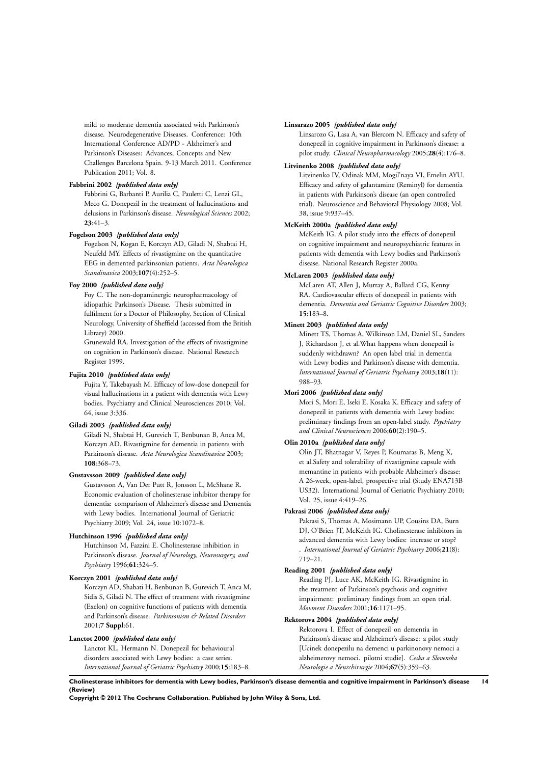mild to moderate dementia associated with Parkinson's disease. Neurodegenerative Diseases. Conference: 10th International Conference AD/PD - Alzheimer's and Parkinson's Diseases: Advances, Concepts and New Challenges Barcelona Spain. 9-13 March 2011. Conference Publication 2011; Vol. 8.

#### **Fabbrini 2002** *{published data only}*

Fabbrini G, Barbanti P, Aurilia C, Pauletti C, Lenzi GL, Meco G. Donepezil in the treatment of hallucinations and delusions in Parkinson's disease. *Neurological Sciences* 2002; **23**:41–3.

### **Fogelson 2003** *{published data only}*

Fogelson N, Kogan E, Korczyn AD, Giladi N, Shabtai H, Neufeld MY. Effects of rivastigmine on the quantitative EEG in demented parkinsonian patients. *Acta Neurologica Scandinavica* 2003;**107**(4):252–5.

### **Foy 2000** *{published data only}*

Foy C. The non-dopaminergic neuropharmacology of idiopathic Parkinson's Disease. Thesis submitted in fulfilment for a Doctor of Philosophy, Section of Clinical Neurology, University of Sheffield (accessed from the British Library) 2000.

Grunewald RA. Investigation of the effects of rivastigmine on cognition in Parkinson's disease. National Research Register 1999.

#### **Fujita 2010** *{published data only}*

Fujita Y, Takebayash M. Efficacy of low-dose donepezil for visual hallucinations in a patient with dementia with Lewy bodies. Psychiatry and Clinical Neurosciences 2010; Vol. 64, issue 3:336.

### **Giladi 2003** *{published data only}*

Giladi N, Shabtai H, Gurevich T, Benbunan B, Anca M, Korczyn AD. Rivastigmine for dementia in patients with Parkinson's disease. *Acta Neurologica Scandinavica* 2003; **108**:368–73.

#### **Gustavsson 2009** *{published data only}*

Gustavsson A, Van Der Putt R, Jonsson L, McShane R. Economic evaluation of cholinesterase inhibitor therapy for dementia: comparison of Alzheimer's disease and Dementia with Lewy bodies. International Journal of Geriatric Psychiatry 2009; Vol. 24, issue 10:1072–8.

#### **Hutchinson 1996** *{published data only}*

Hutchinson M, Fazzini E. Cholinesterase inhibition in Parkinson's disease. *Journal of Neurology, Neurosurgery, and Psychiatry* 1996;**61**:324–5.

#### **Korczyn 2001** *{published data only}*

Korczyn AD, Shabati H, Benbunan B, Gurevich T, Anca M, Sidis S, Giladi N. The effect of treatment with rivastigmine (Exelon) on cognitive functions of patients with dementia and Parkinson's disease. *Parkinsonism & Related Disorders* 2001;**7 Suppl**:61.

#### **Lanctot 2000** *{published data only}*

Lanctot KL, Hermann N. Donepezil for behavioural disorders associated with Lewy bodies: a case series. *International Journal of Geriatric Psychiatry* 2000;**15**:183–8.

#### **Linsarazo 2005** *{published data only}*

Linsarozo G, Lasa A, van Blercom N. Efficacy and safety of donepezil in cognitive impairment in Parkinson's disease: a pilot study. *Clinical Neuropharmacology* 2005;**28**(4):176–8.

### **Litvinenko 2008** *{published data only}*

Litvinenko IV, Odinak MM, Mogil'naya VI, Emelin AYU. Efficacy and safety of galantamine (Reminyl) for dementia in patients with Parkinson's disease (an open controlled trial). Neuroscience and Behavioral Physiology 2008; Vol. 38, issue 9:937–45.

# **McKeith 2000a** *{published data only}*

McKeith IG. A pilot study into the effects of donepezil on cognitive impairment and neuropsychiatric features in patients with dementia with Lewy bodies and Parkinson's disease. National Research Register 2000a.

# **McLaren 2003** *{published data only}*

McLaren AT, Allen J, Murray A, Ballard CG, Kenny RA. Cardiovascular effects of donepezil in patients with dementia. *Dementia and Geriatric Cognitive Disorders* 2003; **15**:183–8.

#### **Minett 2003** *{published data only}*

Minett TS, Thomas A, Wilkinson LM, Daniel SL, Sanders J, Richardson J, et al.What happens when donepezil is suddenly withdrawn? An open label trial in dementia with Lewy bodies and Parkinson's disease with dementia. *International Journal of Geriatric Psychiatry* 2003;**18**(11): 988–93.

#### **Mori 2006** *{published data only}*

Mori S, Mori E, Iseki E, Kosaka K. Efficacy and safety of donepezil in patients with dementia with Lewy bodies: preliminary findings from an open-label study. *Psychiatry and Clinical Neurosciences* 2006;**60**(2):190–5.

#### **Olin 2010a** *{published data only}*

Olin JT, Bhatnagar V, Reyes P, Koumaras B, Meng X, et al.Safety and tolerability of rivastigmine capsule with memantine in patients with probable Alzheimer's disease: A 26-week, open-label, prospective trial (Study ENA713B US32). International Journal of Geriatric Psychiatry 2010; Vol. 25, issue 4:419–26.

#### **Pakrasi 2006** *{published data only}*

Pakrasi S, Thomas A, Mosimann UP, Cousins DA, Burn DJ, O'Brien JT, McKeith IG. Cholinesterase inhibitors in advanced dementia with Lewy bodies: increase or stop? . *International Journal of Geriatric Psychiatry* 2006;**21**(8): 719–21.

### **Reading 2001** *{published data only}*

Reading PJ, Luce AK, McKeith IG. Rivastigmine in the treatment of Parkinson's psychosis and cognitive impairment: preliminary findings from an open trial. *Movment Disorders* 2001;**16**:1171–95.

# **Rektorova 2004** *{published data only}*

Rektorova I. Effect of donepezil on dementia in Parkinson's disease and Alzheimer's disease: a pilot study [Ucinek donepezilu na demenci u parkinonovy nemoci a alzheimerovy nemoci. pilotni studie]. *Ceska a Slovenska Neurologie a Neurchirurgie* 2004;**67**(5):359–63.

**Cholinesterase inhibitors for dementia with Lewy bodies, Parkinson's disease dementia and cognitive impairment in Parkinson's disease 14 (Review)**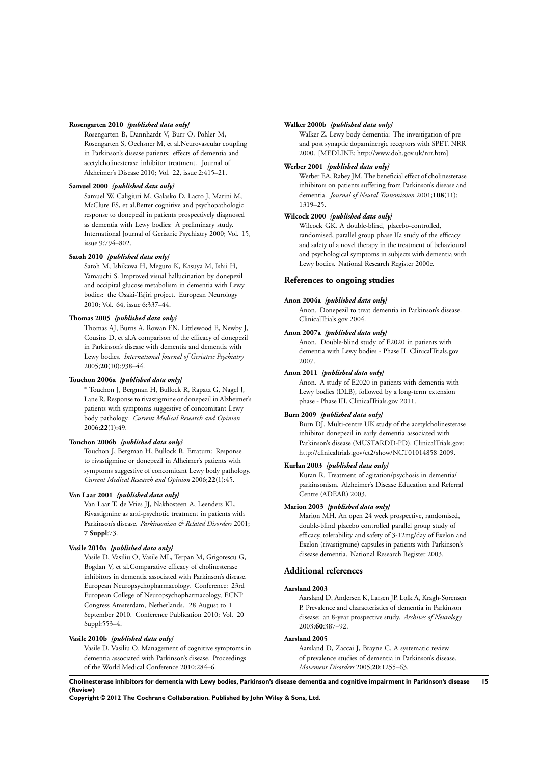#### **Rosengarten 2010** *{published data only}*

Rosengarten B, Dannhardt V, Burr O, Pohler M, Rosengarten S, Oechsner M, et al.Neurovascular coupling in Parkinson's disease patients: effects of dementia and acetylcholinesterase inhibitor treatment. Journal of Alzheimer's Disease 2010; Vol. 22, issue 2:415–21.

#### **Samuel 2000** *{published data only}*

Samuel W, Caligiuri M, Galasko D, Lacro J, Marini M, McClure FS, et al.Better cognitive and psychopathologic response to donepezil in patients prospectively diagnosed as dementia with Lewy bodies: A preliminary study. International Journal of Geriatric Psychiatry 2000; Vol. 15, issue 9:794–802.

#### **Satoh 2010** *{published data only}*

Satoh M, Ishikawa H, Meguro K, Kasuya M, Ishii H, Yamauchi S. Improved visual hallucination by donepezil and occipital glucose metabolism in dementia with Lewy bodies: the Osaki-Tajiri project. European Neurology 2010; Vol. 64, issue 6:337–44.

### **Thomas 2005** *{published data only}*

Thomas AJ, Burns A, Rowan EN, Littlewood E, Newby J, Cousins D, et al.A comparison of the efficacy of donepezil in Parkinson's disease with dementia and dementia with Lewy bodies. *International Journal of Geriatric Psychiatry* 2005;**20**(10):938–44.

#### **Touchon 2006a** *{published data only}*

<sup>∗</sup> Touchon J, Bergman H, Bullock R, Rapatz G, Nagel J, Lane R. Response to rivastigmine or donepezil in Alzheimer's patients with symptoms suggestive of concomitant Lewy body pathology. *Current Medical Research and Opinion* 2006;**22**(1):49.

#### **Touchon 2006b** *{published data only}*

Touchon J, Bergman H, Bullock R. Erratum: Response to rivastigmine or donepezil in Alheimer's patients with symptoms suggestive of concomitant Lewy body pathology. *Current Medical Research and Opinion* 2006;**22**(1):45.

#### **Van Laar 2001** *{published data only}*

Van Laar T, de Vries JJ, Nakhosteen A, Leenders KL. Rivastigmine as anti-psychotic treatment in patients with Parkinson's disease. *Parkinsonism & Related Disorders* 2001; **7 Suppl**:73.

#### **Vasile 2010a** *{published data only}*

Vasile D, Vasiliu O, Vasile ML, Terpan M, Grigorescu G, Bogdan V, et al.Comparative efficacy of cholinesterase inhibitors in dementia associated with Parkinson's disease. European Neuropsychopharmacology. Conference: 23rd European College of Neuropsychopharmacology, ECNP Congress Amsterdam, Netherlands. 28 August to 1 September 2010. Conference Publication 2010; Vol. 20 Suppl:553–4.

#### **Vasile 2010b** *{published data only}*

Vasile D, Vasiliu O. Management of cognitive symptoms in dementia associated with Parkinson's disease. Proceedings of the World Medical Conference 2010:284–6.

#### **Walker 2000b** *{published data only}*

Walker Z. Lewy body dementia: The investigation of pre and post synaptic dopaminergic receptors with SPET. NRR 2000. [MEDLINE: http://www.doh.gov.uk/nrr.htm]

### **Werber 2001** *{published data only}*

Werber EA, Rabey JM. The beneficial effect of cholinesterase inhibitors on patients suffering from Parkinson's disease and dementia. *Journal of Neural Transmission* 2001;**108**(11): 1319–25.

#### **Wilcock 2000** *{published data only}*

Wilcock GK. A double-blind, placebo-controlled, randomised, parallel group phase IIa study of the efficacy and safety of a novel therapy in the treatment of behavioural and psychological symptoms in subjects with dementia with Lewy bodies. National Research Register 2000e.

#### **References to ongoing studies**

#### **Anon 2004a** *{published data only}*

Anon. Donepezil to treat dementia in Parkinson's disease. ClinicalTrials.gov 2004.

#### **Anon 2007a** *{published data only}*

Anon. Double-blind study of E2020 in patients with dementia with Lewy bodies - Phase II. ClinicalTrials.gov 2007.

#### **Anon 2011** *{published data only}*

Anon. A study of E2020 in patients with dementia with Lewy bodies (DLB), followed by a long-term extension phase - Phase III. ClinicalTrials.gov 2011.

#### **Burn 2009** *{published data only}*

Burn DJ. Multi-centre UK study of the acetylcholinesterase inhibitor donepezil in early dementia associated with Parkinson's disease (MUSTARDD-PD). ClinicalTrials.gov: http://clinicaltrials.gov/ct2/show/NCT01014858 2009.

#### **Kurlan 2003** *{published data only}*

Kuran R. Treatment of agitation/psychosis in dementia/ parkinsonism. Alzheimer's Disease Education and Referral Centre (ADEAR) 2003.

# **Marion 2003** *{published data only}*

Marion MH. An open 24 week prospective, randomised, double-blind placebo controlled parallel group study of efficacy, tolerability and safety of 3-12mg/day of Exelon and Exelon (rivastigmine) capsules in patients with Parkinson's disease dementia. National Research Register 2003.

# **Additional references**

#### **Aarsland 2003**

Aarsland D, Andersen K, Larsen JP, Lolk A, Kragh-Sorensen P. Prevalence and characteristics of dementia in Parkinson disease: an 8-year prospective study. *Archives of Neurology* 2003;**60**:387–92.

#### **Aarsland 2005**

Aarsland D, Zaccai J, Brayne C. A systematic review of prevalence studies of dementia in Parkinson's disease. *Movement Disorders* 2005;**20**:1255–63.

**Cholinesterase inhibitors for dementia with Lewy bodies, Parkinson's disease dementia and cognitive impairment in Parkinson's disease 15 (Review)**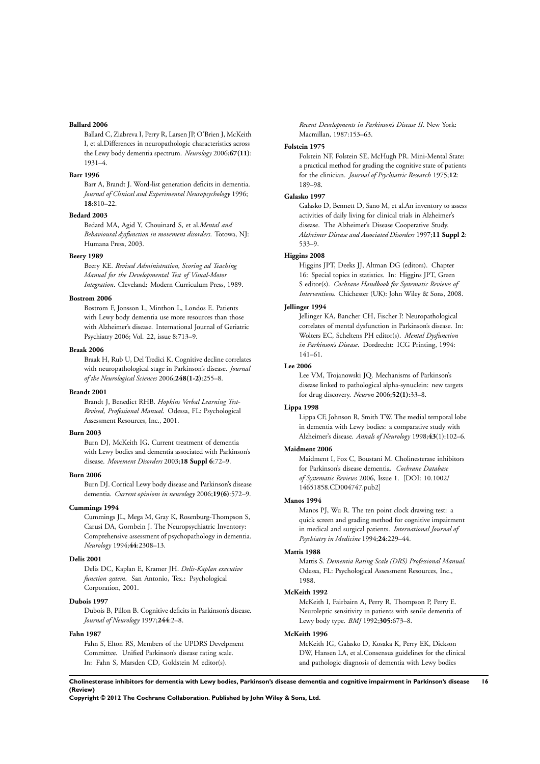#### **Ballard 2006**

Ballard C, Ziabreva I, Perry R, Larsen JP, O'Brien J, McKeith I, et al.Differences in neuropathologic characteristics across the Lewy body dementia spectrum. *Neurology* 2006;**67(11)**: 1931–4.

#### **Barr 1996**

Barr A, Brandt J. Word-list generation deficits in dementia. *Journal of Clinical and Experimental Neuropsychology* 1996; **18**:810–22.

# **Bedard 2003**

Bedard MA, Agid Y, Chouinard S, et al.*Mental and Behavioural dysfunction in movement disorders*. Totowa, NJ: Humana Press, 2003.

# **Beery 1989**

Beery KE. *Revised Administration, Scoring ad Teaching Manual for the Developmental Test of Visual-Motor Integration*. Cleveland: Modern Curriculum Press, 1989.

# **Bostrom 2006**

Bostrom F, Jonsson L, Minthon L, Londos E. Patients with Lewy body dementia use more resources than those with Alzheimer's disease. International Journal of Geriatric Psychiatry 2006; Vol. 22, issue 8:713–9.

#### **Braak 2006**

Braak H, Rub U, Del Tredici K. Cognitive decline correlates with neuropathological stage in Parkinson's disease. *Journal of the Neurological Sciences* 2006;**248(1-2)**:255–8.

#### **Brandt 2001**

Brandt J, Benedict RHB. *Hopkins Verbal Learning Test-Revised, Professional Manual*. Odessa, FL: Psychological Assessment Resources, Inc., 2001.

### **Burn 2003**

Burn DJ, McKeith IG. Current treatment of dementia with Lewy bodies and dementia associated with Parkinson's disease. *Movement Disorders* 2003;**18 Suppl 6**:72–9.

#### **Burn 2006**

Burn DJ. Cortical Lewy body disease and Parkinson's disease dementia. *Current opinions in neurology* 2006;**19(6)**:572–9.

### **Cummings 1994**

Cummings JL, Mega M, Gray K, Rosenburg-Thompson S, Carusi DA, Gornbein J. The Neuropsychiatric Inventory: Comprehensive assessment of psychopathology in dementia. *Neurology* 1994;**44**:2308–13.

### **Delis 2001**

Delis DC, Kaplan E, Kramer JH. *Delis-Kaplan executive function system*. San Antonio, Tex.: Psychological Corporation, 2001.

# **Dubois 1997**

Dubois B, Pillon B. Cognitive deficits in Parkinson's disease. *Journal of Neurology* 1997;**244**:2–8.

#### **Fahn 1987**

Fahn S, Elton RS, Members of the UPDRS Develpment Committee. Unified Parkinson's disease rating scale. In: Fahn S, Marsden CD, Goldstein M editor(s).

*Recent Developments in Parkinson's Disease II*. New York: Macmillan, 1987:153–63.

### **Folstein 1975**

Folstein NF, Folstein SE, McHugh PR. Mini-Mental State: a practical method for grading the cognitive state of patients for the clinician. *Journal of Psychiatric Research* 1975;**12**: 189–98.

#### **Galasko 1997**

Galasko D, Bennett D, Sano M, et al.An inventory to assess activities of daily living for clinical trials in Alzheimer's disease. The Alzheimer's Disease Cooperative Study. *Alzheimer Disease and Associated Disorders* 1997;**11 Suppl 2**: 533–9.

# **Higgins 2008**

Higgins JPT, Deeks JJ, Altman DG (editors). Chapter 16: Special topics in statistics. In: Higgins JPT, Green S editor(s). *Cochrane Handbook for Systematic Reviews of Interventions*. Chichester (UK): John Wiley & Sons, 2008.

#### **Jellinger 1994**

Jellinger KA, Bancher CH, Fischer P. Neuropathological correlates of mental dysfunction in Parkinson's disease. In: Wolters EC, Scheltens PH editor(s). *Mental Dysfunction in Parkinson's Disease*. Dordrecht: ICG Printing, 1994: 141–61.

#### **Lee 2006**

Lee VM, Trojanowski JQ. Mechanisms of Parkinson's disease linked to pathological alpha-synuclein: new targets for drug discovery. *Neuron* 2006;**52(1)**:33–8.

# **Lippa 1998**

Lippa CF, Johnson R, Smith TW. The medial temporal lobe in dementia with Lewy bodies: a comparative study with Alzheimer's disease. *Annals of Neurology* 1998;**43**(1):102–6.

#### **Maidment 2006**

Maidment I, Fox C, Boustani M. Cholinesterase inhibitors for Parkinson's disease dementia. *Cochrane Database of Systematic Reviews* 2006, Issue 1. [DOI: 10.1002/ 14651858.CD004747.pub2]

#### **Manos 1994**

Manos PJ, Wu R. The ten point clock drawing test: a quick screen and grading method for cognitive impairment in medical and surgical patients. *International Journal of Psychiatry in Medicine* 1994;**24**:229–44.

#### **Mattis 1988**

Mattis S. *Dementia Rating Scale (DRS) Professional Manual*. Odessa, FL: Psychological Assessment Resources, Inc., 1988.

#### **McKeith 1992**

McKeith I, Fairbairn A, Perry R, Thompson P, Perry E. Neuroleptic sensitivity in patients with senile dementia of Lewy body type. *BMJ* 1992;**305**:673–8.

#### **McKeith 1996**

McKeith IG, Galasko D, Kosaka K, Perry EK, Dickson DW, Hansen LA, et al.Consensus guidelines for the clinical and pathologic diagnosis of dementia with Lewy bodies

**Cholinesterase inhibitors for dementia with Lewy bodies, Parkinson's disease dementia and cognitive impairment in Parkinson's disease 16 (Review)**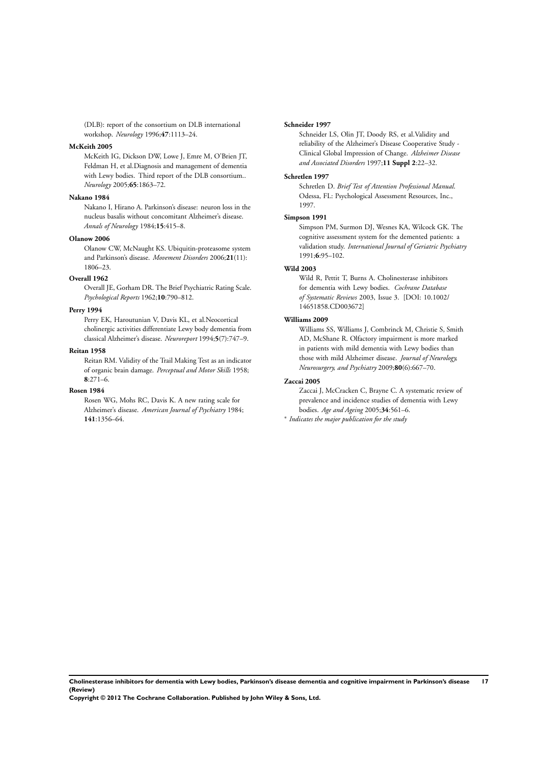(DLB): report of the consortium on DLB international workshop. *Neurology* 1996;**47**:1113–24.

# **McKeith 2005**

McKeith IG, Dickson DW, Lowe J, Emre M, O'Brien JT, Feldman H, et al.Diagnosis and management of dementia with Lewy bodies. Third report of the DLB consortium.. *Neurology* 2005;**65**:1863–72.

# **Nakano 1984**

Nakano I, Hirano A. Parkinson's disease: neuron loss in the nucleus basalis without concomitant Alzheimer's disease. *Annals of Neurology* 1984;**15**:415–8.

#### **Olanow 2006**

Olanow CW, McNaught KS. Ubiquitin-proteasome system and Parkinson's disease. *Movement Disorders* 2006;**21**(11): 1806–23.

# **Overall 1962**

Overall JE, Gorham DR. The Brief Psychiatric Rating Scale. *Psychological Reports* 1962;**10**:790–812.

### **Perry 1994**

Perry EK, Haroutunian V, Davis KL, et al.Neocortical cholinergic activities differentiate Lewy body dementia from classical Alzheimer's disease. *Neuroreport* 1994;**5**(7):747–9.

#### **Reitan 1958**

Reitan RM. Validity of the Trail Making Test as an indicator of organic brain damage. *Perceptual and Motor Skills* 1958; **8**:271–6.

#### **Rosen 1984**

Rosen WG, Mohs RC, Davis K. A new rating scale for Alzheimer's disease. *American Journal of Psychiatry* 1984; **141**:1356–64.

#### **Schneider 1997**

Schneider LS, Olin JT, Doody RS, et al.Validity and reliability of the Alzheimer's Disease Cooperative Study - Clinical Global Impression of Change. *Alzheimer Disease and Associated Disorders* 1997;**11 Suppl 2**:22–32.

### **Schretlen 1997**

Schretlen D. *Brief Test of Attention Professional Manual*. Odessa, FL: Psychological Assessment Resources, Inc., 1997.

#### **Simpson 1991**

Simpson PM, Surmon DJ, Wesnes KA, Wilcock GK. The cognitive assessment system for the demented patients: a validation study. *International Journal of Geriatric Psychiatry* 1991;**6**:95–102.

#### **Wild 2003**

Wild R, Pettit T, Burns A. Cholinesterase inhibitors for dementia with Lewy bodies. *Cochrane Database of Systematic Reviews* 2003, Issue 3. [DOI: 10.1002/ 14651858.CD003672]

#### **Williams 2009**

Williams SS, Williams J, Combrinck M, Christie S, Smith AD, McShane R. Olfactory impairment is more marked in patients with mild dementia with Lewy bodies than those with mild Alzheimer disease. *Journal of Neurology, Neurosurgery, and Psychiatry* 2009;**80**(6):667–70.

#### **Zaccai 2005**

Zaccai J, McCracken C, Brayne C. A systematic review of prevalence and incidence studies of dementia with Lewy bodies. *Age and Ageing* 2005;**34**:561–6.

∗ *Indicates the major publication for the study*

**Cholinesterase inhibitors for dementia with Lewy bodies, Parkinson's disease dementia and cognitive impairment in Parkinson's disease 17 (Review)**

**Copyright © 2012 The Cochrane Collaboration. Published by John Wiley & Sons, Ltd.**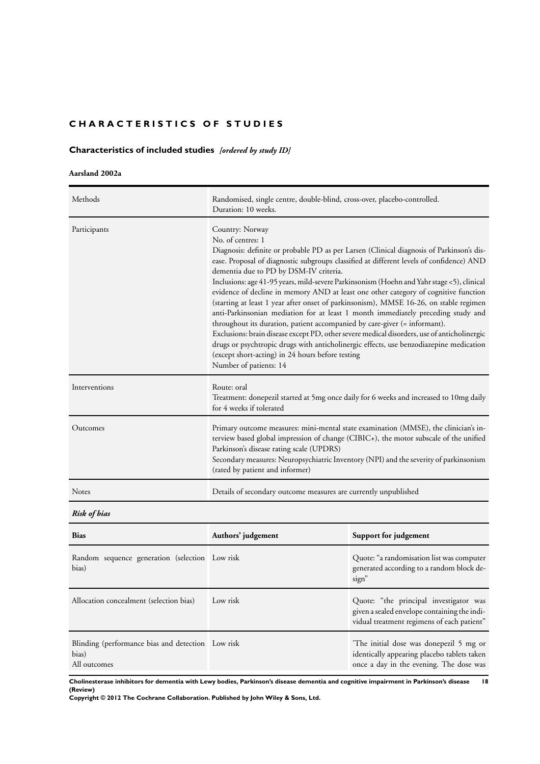# <span id="page-19-0"></span>**CHARACTERISTICS OF STUDIES**

# **Characteristics of included studies** *[ordered by study ID]*

# **Aarsland 2002a**

| Methods       | Randomised, single centre, double-blind, cross-over, placebo-controlled.<br>Duration: 10 weeks.                                                                                                                                                                                                                                                                                                                                                                                                                                                                                                                                                                                                                                                                                                                                                                                                                                                                                             |
|---------------|---------------------------------------------------------------------------------------------------------------------------------------------------------------------------------------------------------------------------------------------------------------------------------------------------------------------------------------------------------------------------------------------------------------------------------------------------------------------------------------------------------------------------------------------------------------------------------------------------------------------------------------------------------------------------------------------------------------------------------------------------------------------------------------------------------------------------------------------------------------------------------------------------------------------------------------------------------------------------------------------|
| Participants  | Country: Norway<br>No. of centres: 1<br>Diagnosis: definite or probable PD as per Larsen (Clinical diagnosis of Parkinson's dis-<br>ease. Proposal of diagnostic subgroups classified at different levels of confidence) AND<br>dementia due to PD by DSM-IV criteria.<br>Inclusions: age 41-95 years, mild-severe Parkinsonism (Hoehn and Yahr stage <5), clinical<br>evidence of decline in memory AND at least one other category of cognitive function<br>(starting at least 1 year after onset of parkinsonism), MMSE 16-26, on stable regimen<br>anti-Parkinsonian mediation for at least 1 month immediately preceding study and<br>throughout its duration, patient accompanied by care-giver (= informant).<br>Exclusions: brain disease except PD, other severe medical disorders, use of anticholinergic<br>drugs or psychtropic drugs with anticholinergic effects, use benzodiazepine medication<br>(except short-acting) in 24 hours before testing<br>Number of patients: 14 |
| Interventions | Route: oral<br>Treatment: donepezil started at 5mg once daily for 6 weeks and increased to 10mg daily<br>for 4 weeks if tolerated                                                                                                                                                                                                                                                                                                                                                                                                                                                                                                                                                                                                                                                                                                                                                                                                                                                           |
| Outcomes      | Primary outcome measures: mini-mental state examination (MMSE), the clinician's in-<br>terview based global impression of change (CIBIC+), the motor subscale of the unified<br>Parkinson's disease rating scale (UPDRS)<br>Secondary measures: Neuropsychiatric Inventory (NPI) and the severity of parkinsonism<br>(rated by patient and informer)                                                                                                                                                                                                                                                                                                                                                                                                                                                                                                                                                                                                                                        |
| Notes         | Details of secondary outcome measures are currently unpublished                                                                                                                                                                                                                                                                                                                                                                                                                                                                                                                                                                                                                                                                                                                                                                                                                                                                                                                             |

*Risk of bias*

| <b>Bias</b>                                                                | Authors' judgement | Support for judgement                                                                                                                |
|----------------------------------------------------------------------------|--------------------|--------------------------------------------------------------------------------------------------------------------------------------|
| Random sequence generation (selection Low risk)<br>bias)                   |                    | Quote: "a randomisation list was computer<br>generated according to a random block de-<br>sign"                                      |
| Allocation concealment (selection bias)                                    | Low risk           | Quote: "the principal investigator was<br>given a sealed envelope containing the indi-<br>vidual treatment regimens of each patient" |
| Blinding (performance bias and detection Low risk<br>bias)<br>All outcomes |                    | The initial dose was donepezil 5 mg or<br>identically appearing placebo tablets taken<br>once a day in the evening. The dose was     |

**Cholinesterase inhibitors for dementia with Lewy bodies, Parkinson's disease dementia and cognitive impairment in Parkinson's disease 18 (Review)**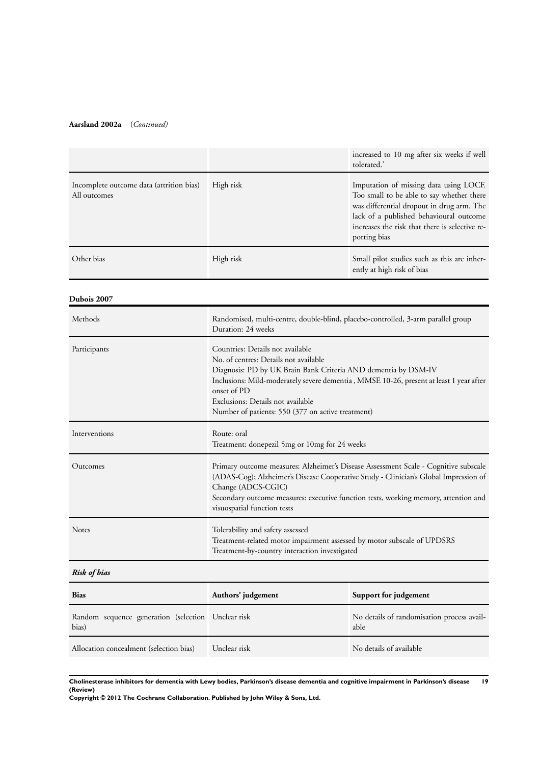# **Aarsland 2002a** (*Continued)*

|                                                          |           | increased to 10 mg after six weeks if well<br>tolerated.'                                                                                                                                                                                     |
|----------------------------------------------------------|-----------|-----------------------------------------------------------------------------------------------------------------------------------------------------------------------------------------------------------------------------------------------|
| Incomplete outcome data (attrition bias)<br>All outcomes | High risk | Imputation of missing data using LOCF.<br>Too small to be able to say whether there<br>was differential dropout in drug arm. The<br>lack of a published behavioural outcome<br>increases the risk that there is selective re-<br>porting bias |
| Other bias                                               | High risk | Small pilot studies such as this are inher-<br>ently at high risk of bias                                                                                                                                                                     |

# **Dubois 2007**

| Methods       | Randomised, multi-centre, double-blind, placebo-controlled, 3-arm parallel group<br>Duration: 24 weeks                                                                                                                                                                                                                                         |
|---------------|------------------------------------------------------------------------------------------------------------------------------------------------------------------------------------------------------------------------------------------------------------------------------------------------------------------------------------------------|
| Participants  | Countries: Details not available<br>No. of centres: Details not available<br>Diagnosis: PD by UK Brain Bank Criteria AND dementia by DSM-IV<br>Inclusions: Mild-moderately severe dementia, MMSE 10-26, present at least 1 year after<br>onset of PD<br>Exclusions: Details not available<br>Number of patients: 550 (377 on active treatment) |
| Interventions | Route: oral<br>Treatment: donepezil 5mg or 10mg for 24 weeks                                                                                                                                                                                                                                                                                   |
| Outcomes      | Primary outcome measures: Alzheimer's Disease Assessment Scale - Cognitive subscale<br>(ADAS-Cog); Alzheimer's Disease Cooperative Study - Clinician's Global Impression of<br>Change (ADCS-CGIC)<br>Secondary outcome measures: executive function tests, working memory, attention and<br>visuospatial function tests                        |
| <b>Notes</b>  | Tolerability and safety assessed<br>Treatment-related motor impairment assessed by motor subscale of UPDSRS<br>Treatment-by-country interaction investigated                                                                                                                                                                                   |

# *Risk of bias*

| <b>Bias</b>                                                 | Authors' judgement | Support for judgement                              |
|-------------------------------------------------------------|--------------------|----------------------------------------------------|
| Random sequence generation (selection Unclear risk<br>bias) |                    | No details of randomisation process avail-<br>able |
| Allocation concealment (selection bias)                     | Unclear risk       | No details of available                            |

**Cholinesterase inhibitors for dementia with Lewy bodies, Parkinson's disease dementia and cognitive impairment in Parkinson's disease 19 (Review)**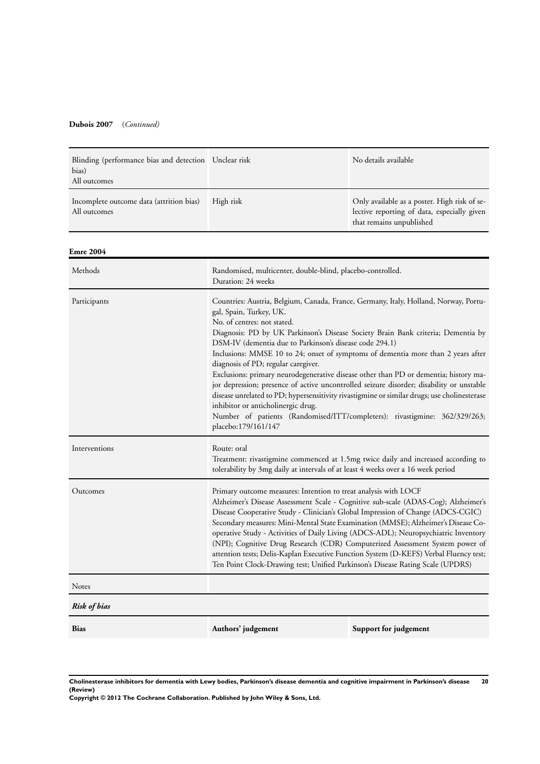# **Dubois 2007** (*Continued)*

| Blinding (performance bias and detection Unclear risk<br>bias)<br>All outcomes |                                                                                                                                                                                                                                                                                                                                                                                                                                                                                                                                                                                                                                                                                                                                                                                                                                                        | No details available                                                                                                    |
|--------------------------------------------------------------------------------|--------------------------------------------------------------------------------------------------------------------------------------------------------------------------------------------------------------------------------------------------------------------------------------------------------------------------------------------------------------------------------------------------------------------------------------------------------------------------------------------------------------------------------------------------------------------------------------------------------------------------------------------------------------------------------------------------------------------------------------------------------------------------------------------------------------------------------------------------------|-------------------------------------------------------------------------------------------------------------------------|
| Incomplete outcome data (attrition bias)<br>All outcomes                       | High risk                                                                                                                                                                                                                                                                                                                                                                                                                                                                                                                                                                                                                                                                                                                                                                                                                                              | Only available as a poster. High risk of se-<br>lective reporting of data, especially given<br>that remains unpublished |
| <b>Emre 2004</b>                                                               |                                                                                                                                                                                                                                                                                                                                                                                                                                                                                                                                                                                                                                                                                                                                                                                                                                                        |                                                                                                                         |
| Methods                                                                        | Randomised, multicenter, double-blind, placebo-controlled.<br>Duration: 24 weeks                                                                                                                                                                                                                                                                                                                                                                                                                                                                                                                                                                                                                                                                                                                                                                       |                                                                                                                         |
| Participants                                                                   | Countries: Austria, Belgium, Canada, France, Germany, Italy, Holland, Norway, Portu-<br>gal, Spain, Turkey, UK.<br>No. of centres: not stated.<br>Diagnosis: PD by UK Parkinson's Disease Society Brain Bank criteria; Dementia by<br>DSM-IV (dementia due to Parkinson's disease code 294.1)<br>Inclusions: MMSE 10 to 24; onset of symptoms of dementia more than 2 years after<br>diagnosis of PD; regular caregiver.<br>Exclusions: primary neurodegenerative disease other than PD or dementia; history ma-<br>jor depression; presence of active uncontrolled seizure disorder; disability or unstable<br>disease unrelated to PD; hypersensitivity rivastigmine or similar drugs; use cholinesterase<br>inhibitor or anticholinergic drug.<br>Number of patients (Randomised/ITT/completers): rivastigmine: 362/329/263;<br>placebo:179/161/147 |                                                                                                                         |
| Interventions                                                                  | Route: oral<br>Treatment: rivastigmine commenced at 1.5mg twice daily and increased according to<br>tolerability by 3mg daily at intervals of at least 4 weeks over a 16 week period                                                                                                                                                                                                                                                                                                                                                                                                                                                                                                                                                                                                                                                                   |                                                                                                                         |
| Outcomes                                                                       | Primary outcome measures: Intention to treat analysis with LOCF<br>Alzheimer's Disease Assessment Scale - Cognitive sub-scale (ADAS-Cog); Alzheimer's<br>Disease Cooperative Study - Clinician's Global Impression of Change (ADCS-CGIC)<br>Secondary measures: Mini-Mental State Examination (MMSE); Alzheimer's Disease Co-<br>operative Study - Activities of Daily Living (ADCS-ADL); Neuropsychiatric Inventory<br>(NPI); Cognitive Drug Research (CDR) Computerized Assessment System power of<br>attention tests; Delis-Kaplan Executive Function System (D-KEFS) Verbal Fluency test;<br>Ten Point Clock-Drawing test; Unified Parkinson's Disease Rating Scale (UPDRS)                                                                                                                                                                        |                                                                                                                         |
| Notes                                                                          |                                                                                                                                                                                                                                                                                                                                                                                                                                                                                                                                                                                                                                                                                                                                                                                                                                                        |                                                                                                                         |
| <b>Risk of bias</b>                                                            |                                                                                                                                                                                                                                                                                                                                                                                                                                                                                                                                                                                                                                                                                                                                                                                                                                                        |                                                                                                                         |
| Bias                                                                           | Authors' judgement                                                                                                                                                                                                                                                                                                                                                                                                                                                                                                                                                                                                                                                                                                                                                                                                                                     | Support for judgement                                                                                                   |

**Cholinesterase inhibitors for dementia with Lewy bodies, Parkinson's disease dementia and cognitive impairment in Parkinson's disease 20 (Review)**

**Copyright © 2012 The Cochrane Collaboration. Published by John Wiley & Sons, Ltd.**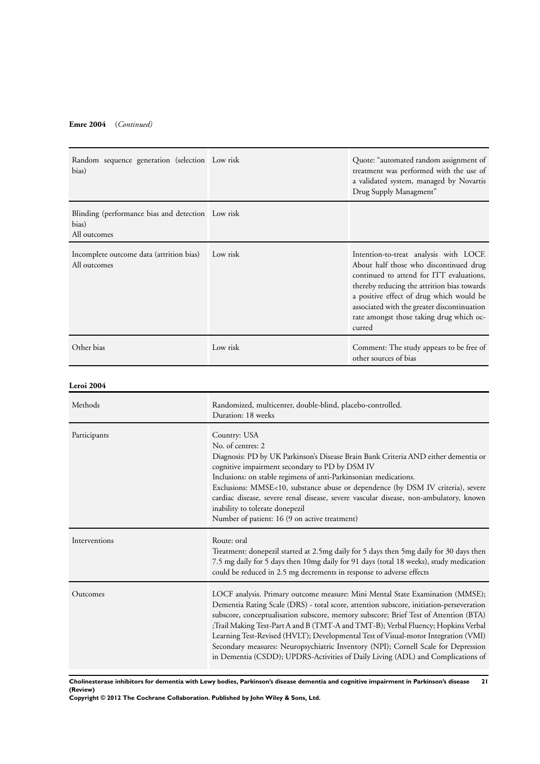# **Emre 2004** (*Continued)*

| Random sequence generation (selection Low risk<br>bias)                    |          | Quote: "automated random assignment of<br>treatment was performed with the use of<br>a validated system, managed by Novartis<br>Drug Supply Managment"                                                                                                                                                                       |
|----------------------------------------------------------------------------|----------|------------------------------------------------------------------------------------------------------------------------------------------------------------------------------------------------------------------------------------------------------------------------------------------------------------------------------|
| Blinding (performance bias and detection Low risk<br>bias)<br>All outcomes |          |                                                                                                                                                                                                                                                                                                                              |
| Incomplete outcome data (attrition bias)<br>All outcomes                   | Low risk | Intention-to-treat analysis with LOCF.<br>About half those who discontinued drug<br>continued to attend for ITT evaluations,<br>thereby reducing the attrition bias towards<br>a positive effect of drug which would be<br>associated with the greater discontinuation<br>rate amongst those taking drug which oc-<br>curred |
| Other bias                                                                 | Low risk | Comment: The study appears to be free of<br>other sources of bias                                                                                                                                                                                                                                                            |

# **Leroi 2004**

| Methods       | Randomized, multicenter, double-blind, placebo-controlled.<br>Duration: 18 weeks                                                                                                                                                                                                                                                                                                                                                                                                                                                                                                                                     |
|---------------|----------------------------------------------------------------------------------------------------------------------------------------------------------------------------------------------------------------------------------------------------------------------------------------------------------------------------------------------------------------------------------------------------------------------------------------------------------------------------------------------------------------------------------------------------------------------------------------------------------------------|
| Participants  | Country: USA<br>No. of centres: 2<br>Diagnosis: PD by UK Parkinson's Disease Brain Bank Criteria AND either dementia or<br>cognitive impairment secondary to PD by DSM IV<br>Inclusions: on stable regimens of anti-Parkinsonian medications.<br>Exclusions: MMSE<10, substance abuse or dependence (by DSM IV criteria), severe<br>cardiac disease, severe renal disease, severe vascular disease, non-ambulatory, known<br>inability to tolerate donepezil<br>Number of patient: 16 (9 on active treatment)                                                                                                        |
| Interventions | Route: oral<br>Treatment: donepezil started at 2.5mg daily for 5 days then 5mg daily for 30 days then<br>7.5 mg daily for 5 days then 10mg daily for 91 days (total 18 weeks), study medication<br>could be reduced in 2.5 mg decrements in response to adverse effects                                                                                                                                                                                                                                                                                                                                              |
| Outcomes      | LOCF analysis. Primary outcome measure: Mini Mental State Examination (MMSE);<br>Dementia Rating Scale (DRS) - total score, attention subscore, initiation-perseveration<br>subscore, conceptualisation subscore, memory subscore; Brief Test of Attention (BTA)<br>;Trail Making Test-Part A and B (TMT-A and TMT-B); Verbal Fluency; Hopkins Verbal<br>Learning Test-Revised (HVLT); Developmental Test of Visual-motor Integration (VMI)<br>Secondary measures: Neuropsychiatric Inventory (NPI); Cornell Scale for Depression<br>in Dementia (CSDD); UPDRS-Activities of Daily Living (ADL) and Complications of |

**Cholinesterase inhibitors for dementia with Lewy bodies, Parkinson's disease dementia and cognitive impairment in Parkinson's disease 21 (Review)**

**Copyright © 2012 The Cochrane Collaboration. Published by John Wiley & Sons, Ltd.**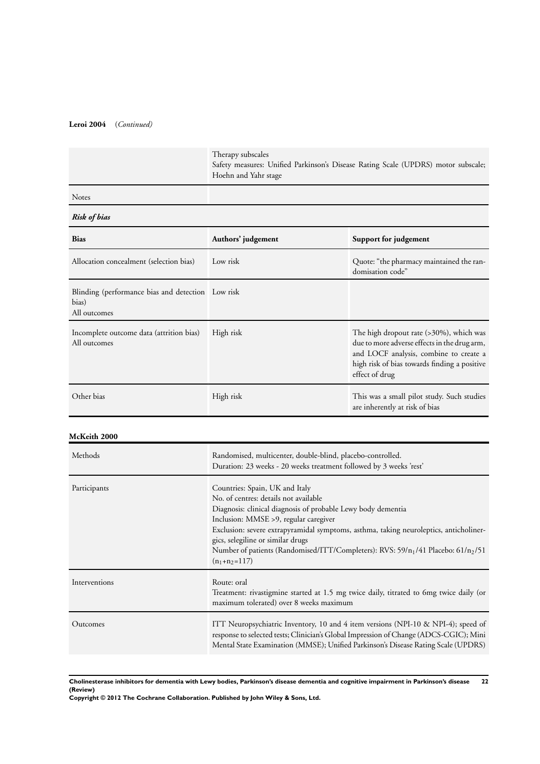# **Leroi 2004** (*Continued)*

|                                                                            | Therapy subscales<br>Safety measures: Unified Parkinson's Disease Rating Scale (UPDRS) motor subscale;<br>Hoehn and Yahr stage |                                                                                                                                                                                                     |
|----------------------------------------------------------------------------|--------------------------------------------------------------------------------------------------------------------------------|-----------------------------------------------------------------------------------------------------------------------------------------------------------------------------------------------------|
| <b>Notes</b>                                                               |                                                                                                                                |                                                                                                                                                                                                     |
| <b>Risk of bias</b>                                                        |                                                                                                                                |                                                                                                                                                                                                     |
| <b>Bias</b>                                                                | Authors' judgement                                                                                                             | Support for judgement                                                                                                                                                                               |
| Allocation concealment (selection bias)                                    | Low risk                                                                                                                       | Quote: "the pharmacy maintained the ran-<br>domisation code"                                                                                                                                        |
| Blinding (performance bias and detection Low risk<br>bias)<br>All outcomes |                                                                                                                                |                                                                                                                                                                                                     |
| Incomplete outcome data (attrition bias)<br>All outcomes                   | High risk                                                                                                                      | The high dropout rate (>30%), which was<br>due to more adverse effects in the drug arm,<br>and LOCF analysis, combine to create a<br>high risk of bias towards finding a positive<br>effect of drug |
| Other bias                                                                 | High risk                                                                                                                      | This was a small pilot study. Such studies<br>are inherently at risk of bias                                                                                                                        |

# **McKeith 2000**

| Methods         | Randomised, multicenter, double-blind, placebo-controlled.<br>Duration: 23 weeks - 20 weeks treatment followed by 3 weeks 'rest'                                                                                                                                                                                                                                                                                                               |
|-----------------|------------------------------------------------------------------------------------------------------------------------------------------------------------------------------------------------------------------------------------------------------------------------------------------------------------------------------------------------------------------------------------------------------------------------------------------------|
| Participants    | Countries: Spain, UK and Italy<br>No. of centres: details not available<br>Diagnosis: clinical diagnosis of probable Lewy body dementia<br>Inclusion: MMSE >9, regular caregiver<br>Exclusion: severe extrapyramidal symptoms, asthma, taking neuroleptics, anticholiner-<br>gics, selegiline or similar drugs<br>Number of patients (Randomised/ITT/Completers): RVS: 59/n <sub>1</sub> /41 Placebo: 61/n <sub>2</sub> /51<br>$(n_1+n_2=117)$ |
| Interventions   | Route: oral<br>Treatment: rivastigmine started at 1.5 mg twice daily, titrated to 6mg twice daily (or<br>maximum tolerated) over 8 weeks maximum                                                                                                                                                                                                                                                                                               |
| <b>Outcomes</b> | ITT Neuropsychiatric Inventory, 10 and 4 item versions (NPI-10 & NPI-4); speed of<br>response to selected tests; Clinician's Global Impression of Change (ADCS-CGIC); Mini<br>Mental State Examination (MMSE); Unified Parkinson's Disease Rating Scale (UPDRS)                                                                                                                                                                                |

**Cholinesterase inhibitors for dementia with Lewy bodies, Parkinson's disease dementia and cognitive impairment in Parkinson's disease 22 (Review)**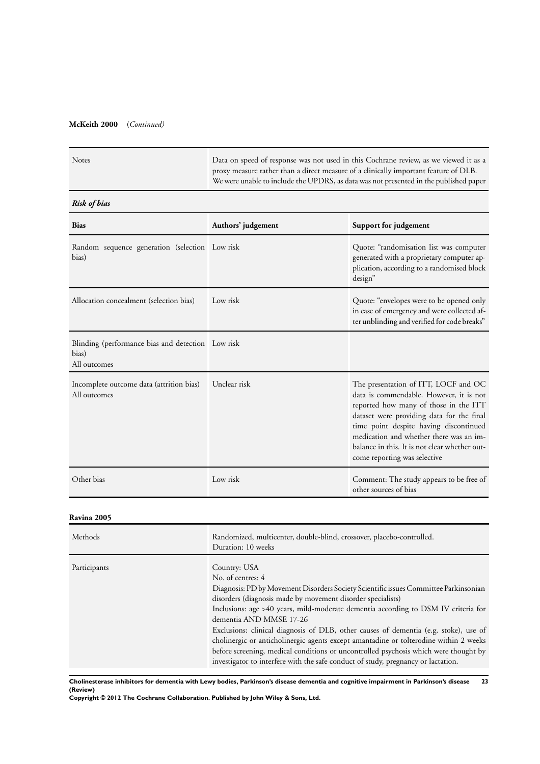### **McKeith 2000** (*Continued)*

*Risk of bias*

| <b>Notes</b> | Data on speed of response was not used in this Cochrane review, as we viewed it as a  |
|--------------|---------------------------------------------------------------------------------------|
|              | proxy measure rather than a direct measure of a clinically important feature of DLB.  |
|              | We were unable to include the UPDRS, as data was not presented in the published paper |

| <b>Bias</b>                                                                | Authors' judgement | Support for judgement                                                                                                                                                                                                                                                                                                                       |
|----------------------------------------------------------------------------|--------------------|---------------------------------------------------------------------------------------------------------------------------------------------------------------------------------------------------------------------------------------------------------------------------------------------------------------------------------------------|
| Random sequence generation (selection Low risk<br>bias)                    |                    | Quote: "randomisation list was computer<br>generated with a proprietary computer ap-<br>plication, according to a randomised block<br>design"                                                                                                                                                                                               |
| Allocation concealment (selection bias)                                    | Low risk           | Quote: "envelopes were to be opened only<br>in case of emergency and were collected af-<br>ter unblinding and verified for code breaks"                                                                                                                                                                                                     |
| Blinding (performance bias and detection Low risk<br>bias)<br>All outcomes |                    |                                                                                                                                                                                                                                                                                                                                             |
| Incomplete outcome data (attrition bias)<br>All outcomes                   | Unclear risk       | The presentation of ITT, LOCF and OC<br>data is commendable. However, it is not<br>reported how many of those in the ITT<br>dataset were providing data for the final<br>time point despite having discontinued<br>medication and whether there was an im-<br>balance in this. It is not clear whether out-<br>come reporting was selective |
| Other bias                                                                 | Low risk           | Comment: The study appears to be free of<br>other sources of bias                                                                                                                                                                                                                                                                           |

# **Ravina 2005**

| Methods      | Randomized, multicenter, double-blind, crossover, placebo-controlled.<br>Duration: 10 weeks                                                                                                                                                                                                                                                                                                                                                                                                                                                                                                                                                                             |
|--------------|-------------------------------------------------------------------------------------------------------------------------------------------------------------------------------------------------------------------------------------------------------------------------------------------------------------------------------------------------------------------------------------------------------------------------------------------------------------------------------------------------------------------------------------------------------------------------------------------------------------------------------------------------------------------------|
| Participants | Country: USA<br>No. of centres: 4<br>Diagnosis: PD by Movement Disorders Society Scientific issues Committee Parkinsonian<br>disorders (diagnosis made by movement disorder specialists)<br>Inclusions: age >40 years, mild-moderate dementia according to DSM IV criteria for<br>dementia AND MMSE 17-26<br>Exclusions: clinical diagnosis of DLB, other causes of dementia (e.g. stoke), use of<br>cholinergic or anticholinergic agents except amantadine or tolterodine within 2 weeks<br>before screening, medical conditions or uncontrolled psychosis which were thought by<br>investigator to interfere with the safe conduct of study, pregnancy or lactation. |

**Cholinesterase inhibitors for dementia with Lewy bodies, Parkinson's disease dementia and cognitive impairment in Parkinson's disease 23 (Review)**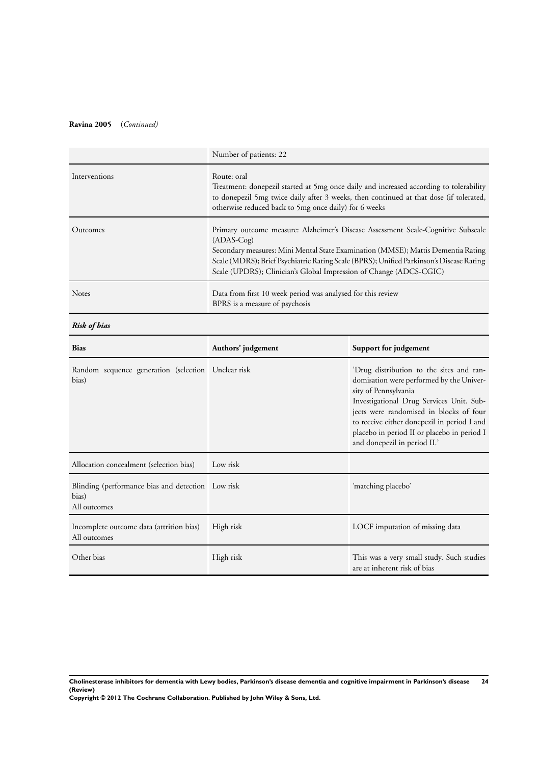# **Ravina 2005** (*Continued)*

|               | Number of patients: 22                                                                                                                                                                                                                                                                                                                                |
|---------------|-------------------------------------------------------------------------------------------------------------------------------------------------------------------------------------------------------------------------------------------------------------------------------------------------------------------------------------------------------|
| Interventions | Route: oral<br>Treatment: donepezil started at 5mg once daily and increased according to tolerability<br>to donepezil 5mg twice daily after 3 weeks, then continued at that dose (if tolerated,<br>otherwise reduced back to 5mg once daily) for 6 weeks                                                                                              |
| Outcomes      | Primary outcome measure: Alzheimer's Disease Assessment Scale-Cognitive Subscale<br>$(ADAS-Cog)$<br>Secondary measures: Mini Mental State Examination (MMSE); Mattis Dementia Rating<br>Scale (MDRS); Brief Psychiatric Rating Scale (BPRS); Unified Parkinson's Disease Rating<br>Scale (UPDRS); Clinician's Global Impression of Change (ADCS-CGIC) |
| <b>Notes</b>  | Data from first 10 week period was analysed for this review<br>BPRS is a measure of psychosis                                                                                                                                                                                                                                                         |

# *Risk of bias*

| <b>Bias</b>                                                                | Authors' judgement | Support for judgement                                                                                                                                                                                                                                                                                                             |
|----------------------------------------------------------------------------|--------------------|-----------------------------------------------------------------------------------------------------------------------------------------------------------------------------------------------------------------------------------------------------------------------------------------------------------------------------------|
| Random sequence generation (selection Unclear risk<br>bias)                |                    | 'Drug distribution to the sites and ran-<br>domisation were performed by the Univer-<br>sity of Pennsylvania<br>Investigational Drug Services Unit. Sub-<br>jects were randomised in blocks of four<br>to receive either donepezil in period I and<br>placebo in period II or placebo in period I<br>and donepezil in period II.' |
| Allocation concealment (selection bias)                                    | Low risk           |                                                                                                                                                                                                                                                                                                                                   |
| Blinding (performance bias and detection Low risk<br>bias)<br>All outcomes |                    | 'matching placebo'                                                                                                                                                                                                                                                                                                                |
| Incomplete outcome data (attrition bias)<br>All outcomes                   | High risk          | LOCF imputation of missing data                                                                                                                                                                                                                                                                                                   |
| Other bias                                                                 | High risk          | This was a very small study. Such studies<br>are at inherent risk of bias                                                                                                                                                                                                                                                         |

**Cholinesterase inhibitors for dementia with Lewy bodies, Parkinson's disease dementia and cognitive impairment in Parkinson's disease 24 (Review)**

**Copyright © 2012 The Cochrane Collaboration. Published by John Wiley & Sons, Ltd.**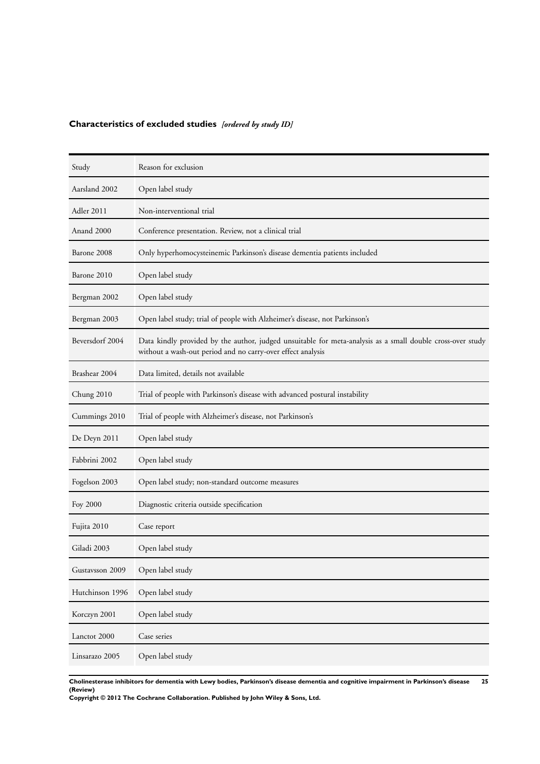# <span id="page-26-0"></span>**Characteristics of excluded studies** *[ordered by study ID]*

| Study           | Reason for exclusion                                                                                                                                                      |
|-----------------|---------------------------------------------------------------------------------------------------------------------------------------------------------------------------|
| Aarsland 2002   | Open label study                                                                                                                                                          |
| Adler 2011      | Non-interventional trial                                                                                                                                                  |
| Anand 2000      | Conference presentation. Review, not a clinical trial                                                                                                                     |
| Barone 2008     | Only hyperhomocysteinemic Parkinson's disease dementia patients included                                                                                                  |
| Barone 2010     | Open label study                                                                                                                                                          |
| Bergman 2002    | Open label study                                                                                                                                                          |
| Bergman 2003    | Open label study; trial of people with Alzheimer's disease, not Parkinson's                                                                                               |
| Beversdorf 2004 | Data kindly provided by the author, judged unsuitable for meta-analysis as a small double cross-over study<br>without a wash-out period and no carry-over effect analysis |
| Brashear 2004   | Data limited, details not available                                                                                                                                       |
| Chung 2010      | Trial of people with Parkinson's disease with advanced postural instability                                                                                               |
| Cummings 2010   | Trial of people with Alzheimer's disease, not Parkinson's                                                                                                                 |
| De Deyn 2011    | Open label study                                                                                                                                                          |
| Fabbrini 2002   | Open label study                                                                                                                                                          |
| Fogelson 2003   | Open label study; non-standard outcome measures                                                                                                                           |
| Foy 2000        | Diagnostic criteria outside specification                                                                                                                                 |
| Fujita 2010     | Case report                                                                                                                                                               |
| Giladi 2003     | Open label study                                                                                                                                                          |
| Gustavsson 2009 | Open label study                                                                                                                                                          |
| Hutchinson 1996 | Open label study                                                                                                                                                          |
| Korczyn 2001    | Open label study                                                                                                                                                          |
| Lanctot 2000    | Case series                                                                                                                                                               |
| Linsarazo 2005  | Open label study                                                                                                                                                          |

**Cholinesterase inhibitors for dementia with Lewy bodies, Parkinson's disease dementia and cognitive impairment in Parkinson's disease 25 (Review)**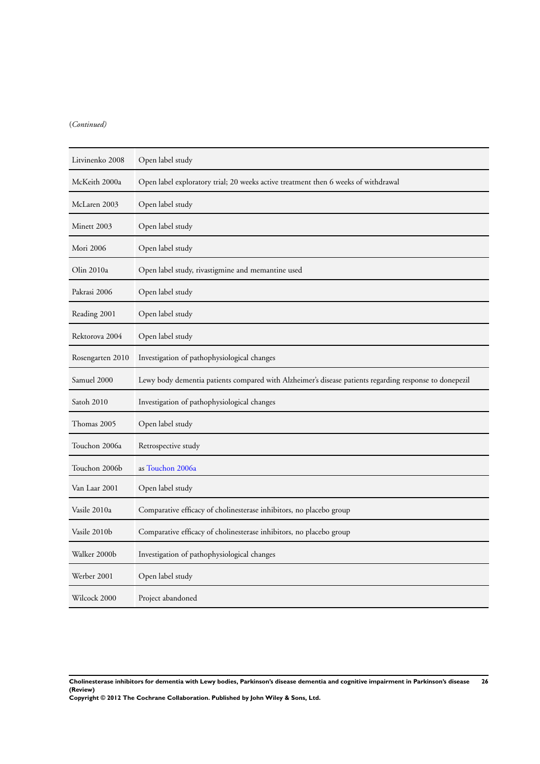# (*Continued)*

| Litvinenko 2008  | Open label study                                                                                       |
|------------------|--------------------------------------------------------------------------------------------------------|
| McKeith 2000a    | Open label exploratory trial; 20 weeks active treatment then 6 weeks of withdrawal                     |
| McLaren 2003     | Open label study                                                                                       |
| Minett 2003      | Open label study                                                                                       |
| Mori 2006        | Open label study                                                                                       |
| Olin 2010a       | Open label study, rivastigmine and memantine used                                                      |
| Pakrasi 2006     | Open label study                                                                                       |
| Reading 2001     | Open label study                                                                                       |
| Rektorova 2004   | Open label study                                                                                       |
| Rosengarten 2010 | Investigation of pathophysiological changes                                                            |
| Samuel 2000      | Lewy body dementia patients compared with Alzheimer's disease patients regarding response to donepezil |
| Satoh 2010       | Investigation of pathophysiological changes                                                            |
| Thomas 2005      | Open label study                                                                                       |
| Touchon 2006a    | Retrospective study                                                                                    |
| Touchon 2006b    | as Touchon 2006a                                                                                       |
| Van Laar 2001    | Open label study                                                                                       |
| Vasile 2010a     | Comparative efficacy of cholinesterase inhibitors, no placebo group                                    |
| Vasile 2010b     | Comparative efficacy of cholinesterase inhibitors, no placebo group                                    |
| Walker 2000b     | Investigation of pathophysiological changes                                                            |
| Werber 2001      | Open label study                                                                                       |
| Wilcock 2000     | Project abandoned                                                                                      |

**Cholinesterase inhibitors for dementia with Lewy bodies, Parkinson's disease dementia and cognitive impairment in Parkinson's disease 26 (Review)**

**Copyright © 2012 The Cochrane Collaboration. Published by John Wiley & Sons, Ltd.**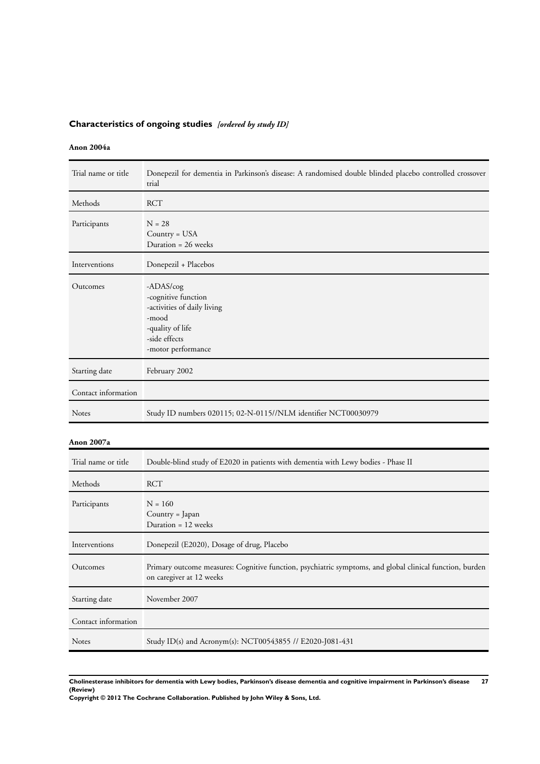# <span id="page-28-0"></span>**Characteristics of ongoing studies** *[ordered by study ID]*

# **Anon 2004a**

| Trial name or title | Donepezil for dementia in Parkinson's disease: A randomised double blinded placebo controlled crossover<br>trial                     |
|---------------------|--------------------------------------------------------------------------------------------------------------------------------------|
| Methods             | <b>RCT</b>                                                                                                                           |
| Participants        | $N = 28$<br>Country = USA<br>Duration = 26 weeks                                                                                     |
| Interventions       | Donepezil + Placebos                                                                                                                 |
| Outcomes            | -ADAS/cog<br>-cognitive function<br>-activities of daily living<br>-mood<br>-quality of life<br>-side effects<br>-motor performance  |
| Starting date       | February 2002                                                                                                                        |
| Contact information |                                                                                                                                      |
| Notes               | Study ID numbers 020115; 02-N-0115//NLM identifier NCT00030979                                                                       |
| Anon 2007a          |                                                                                                                                      |
| Trial name or title | Double-blind study of E2020 in patients with dementia with Lewy bodies - Phase II                                                    |
| Methods             | <b>RCT</b>                                                                                                                           |
| Participants        | $N = 160$<br>Country = Japan<br>Duration = 12 weeks                                                                                  |
| Interventions       | Donepezil (E2020), Dosage of drug, Placebo                                                                                           |
| Outcomes            | Primary outcome measures: Cognitive function, psychiatric symptoms, and global clinical function, burden<br>on caregiver at 12 weeks |
| Starting date       | November 2007                                                                                                                        |
| Contact information |                                                                                                                                      |
| Notes               | Study ID(s) and Acronym(s): NCT00543855 // E2020-J081-431                                                                            |

**Cholinesterase inhibitors for dementia with Lewy bodies, Parkinson's disease dementia and cognitive impairment in Parkinson's disease 27 (Review)**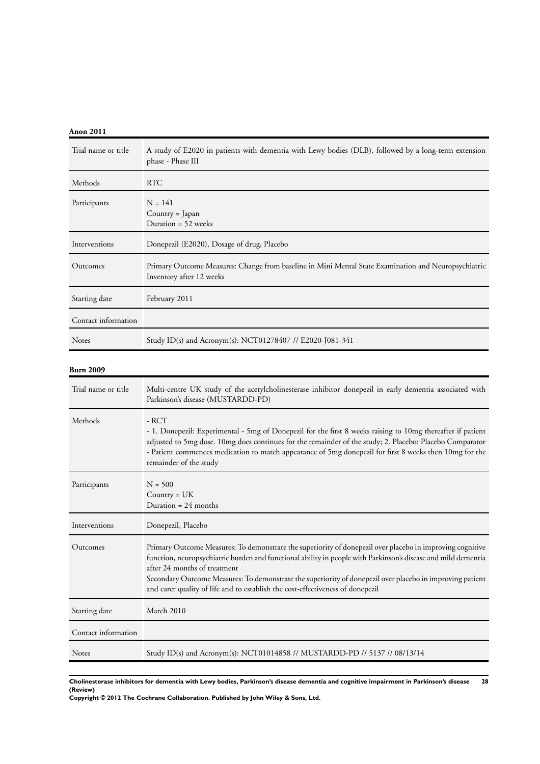# **Anon 2011**

| Trial name or title | A study of E2020 in patients with dementia with Lewy bodies (DLB), followed by a long-term extension<br>phase - Phase III        |
|---------------------|----------------------------------------------------------------------------------------------------------------------------------|
| Methods             | <b>RTC</b>                                                                                                                       |
| Participants        | $N = 141$<br>Country $=$ Japan<br>Duration = 52 weeks                                                                            |
| Interventions       | Donepezil (E2020), Dosage of drug, Placebo                                                                                       |
| Outcomes            | Primary Outcome Measures: Change from baseline in Mini Mental State Examination and Neuropsychiatric<br>Inventory after 12 weeks |
| Starting date       | February 2011                                                                                                                    |
| Contact information |                                                                                                                                  |
| <b>Notes</b>        | Study ID(s) and Acronym(s): NCT01278407 // E2020-J081-341                                                                        |
|                     |                                                                                                                                  |

# **Burn 2009**

| Trial name or title | Multi-centre UK study of the acetylcholinesterase inhibitor donepezil in early dementia associated with<br>Parkinson's disease (MUSTARDD-PD)                                                                                                                                                                                                                                                                                                              |
|---------------------|-----------------------------------------------------------------------------------------------------------------------------------------------------------------------------------------------------------------------------------------------------------------------------------------------------------------------------------------------------------------------------------------------------------------------------------------------------------|
| Methods             | $-$ RCT<br>- 1. Donepezil: Experimental - 5mg of Donepezil for the first 8 weeks raising to 10mg thereafter if patient<br>adjusted to 5mg dose. 10mg does continues for the remainder of the study; 2. Placebo: Placebo Comparator<br>- Patient commences medication to match appearance of 5mg donepezil for first 8 weeks then 10mg for the<br>remainder of the study                                                                                   |
| Participants        | $N = 500$<br>Country = $UK$<br>Duration = $24$ months                                                                                                                                                                                                                                                                                                                                                                                                     |
| Interventions       | Donepezil, Placebo                                                                                                                                                                                                                                                                                                                                                                                                                                        |
| Outcomes            | Primary Outcome Measures: To demonstrate the superiority of donepezil over placebo in improving cognitive<br>function, neuropsychiatric burden and functional ability in people with Parkinson's disease and mild dementia<br>after 24 months of treatment<br>Secondary Outcome Measures: To demonstrate the superiority of donepezil over placebo in improving patient<br>and carer quality of life and to establish the cost-effectiveness of donepezil |
| Starting date       | March 2010                                                                                                                                                                                                                                                                                                                                                                                                                                                |
| Contact information |                                                                                                                                                                                                                                                                                                                                                                                                                                                           |
| <b>Notes</b>        | Study ID(s) and Acronym(s): NCT01014858 // MUSTARDD-PD // 5137 // 08/13/14                                                                                                                                                                                                                                                                                                                                                                                |

**Cholinesterase inhibitors for dementia with Lewy bodies, Parkinson's disease dementia and cognitive impairment in Parkinson's disease 28 (Review)**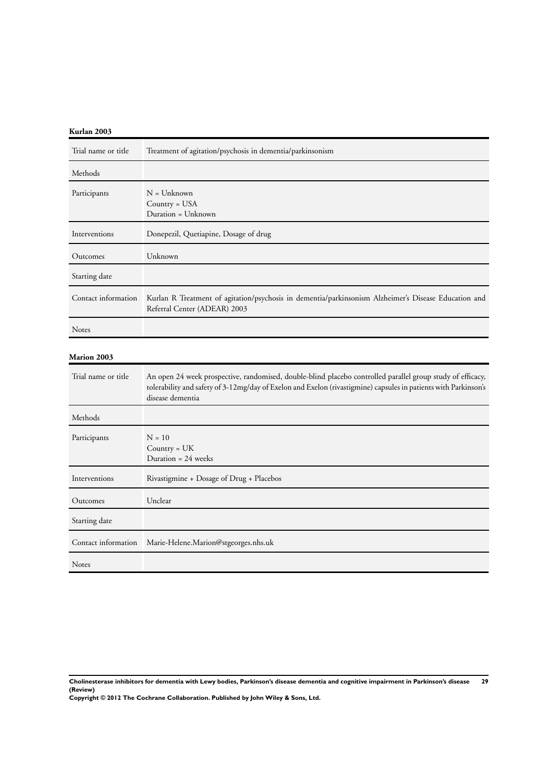# **Kurlan 2003**

| Trial name or title | Treatment of agitation/psychosis in dementia/parkinsonism                                                                                                                                                                                         |
|---------------------|---------------------------------------------------------------------------------------------------------------------------------------------------------------------------------------------------------------------------------------------------|
| Methods             |                                                                                                                                                                                                                                                   |
| Participants        | $N = Unknown$<br>Country = USA<br>Duration = Unknown                                                                                                                                                                                              |
| Interventions       | Donepezil, Quetiapine, Dosage of drug                                                                                                                                                                                                             |
| Outcomes            | Unknown                                                                                                                                                                                                                                           |
| Starting date       |                                                                                                                                                                                                                                                   |
| Contact information | Kurlan R Treatment of agitation/psychosis in dementia/parkinsonism Alzheimer's Disease Education and<br>Referral Center (ADEAR) 2003                                                                                                              |
| Notes               |                                                                                                                                                                                                                                                   |
| <b>Marion 2003</b>  |                                                                                                                                                                                                                                                   |
| Trial name or title | An open 24 week prospective, randomised, double-blind placebo controlled parallel group study of efficacy,<br>tolerability and safety of 3-12mg/day of Exelon and Exelon (rivastigmine) capsules in patients with Parkinson's<br>disease dementia |
| Methods             |                                                                                                                                                                                                                                                   |
| Participants        | $N = 10$<br>Country = UK<br>Duration = $24$ weeks                                                                                                                                                                                                 |
| Interventions       | Rivastigmine + Dosage of Drug + Placebos                                                                                                                                                                                                          |
| Outcomes            | Unclear                                                                                                                                                                                                                                           |
| Starting date       |                                                                                                                                                                                                                                                   |
| Contact information | Marie-Helene.Marion@stgeorges.nhs.uk                                                                                                                                                                                                              |
| <b>Notes</b>        |                                                                                                                                                                                                                                                   |

**Cholinesterase inhibitors for dementia with Lewy bodies, Parkinson's disease dementia and cognitive impairment in Parkinson's disease 29 (Review)**

**Copyright © 2012 The Cochrane Collaboration. Published by John Wiley & Sons, Ltd.**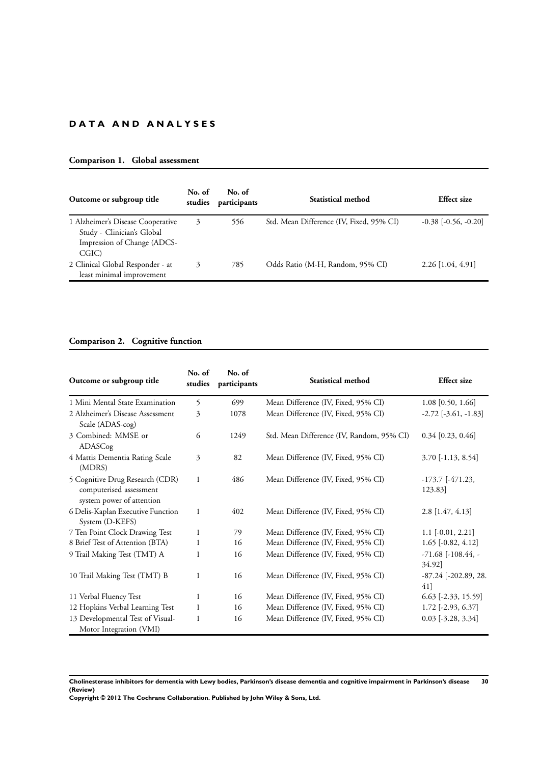# **D A T A A N D A N A L Y S E S**

# **Comparison 1. Global assessment**

| Outcome or subgroup title                                                                               | No. of<br>studies | No. of<br>participants | Statistical method                       | <b>Effect size</b>       |
|---------------------------------------------------------------------------------------------------------|-------------------|------------------------|------------------------------------------|--------------------------|
| 1 Alzheimer's Disease Cooperative<br>Study - Clinician's Global<br>Impression of Change (ADCS-<br>CGIC) | 3                 | 556                    | Std. Mean Difference (IV, Fixed, 95% CI) | $-0.38$ $[-0.56, -0.20]$ |
| 2 Clinical Global Responder - at<br>least minimal improvement                                           | 3                 | 785                    | Odds Ratio (M-H, Random, 95% CI)         | $2.26$ [1.04, 4.91]      |

# **Comparison 2. Cognitive function**

| Outcome or subgroup title                                                               | No. of<br>studies | No. of<br>participants | <b>Statistical method</b>                 | <b>Effect</b> size                  |
|-----------------------------------------------------------------------------------------|-------------------|------------------------|-------------------------------------------|-------------------------------------|
| 1 Mini Mental State Examination                                                         | 5                 | 699                    | Mean Difference (IV, Fixed, 95% CI)       | $1.08$ [0.50, 1.66]                 |
| 2 Alzheimer's Disease Assessment<br>Scale (ADAS-cog)                                    | 3                 | 1078                   | Mean Difference (IV, Fixed, 95% CI)       | $-2.72$ $[-3.61, -1.83]$            |
| 3 Combined: MMSE or<br>ADASCog                                                          | 6                 | 1249                   | Std. Mean Difference (IV, Random, 95% CI) | $0.34$ [0.23, 0.46]                 |
| 4 Mattis Dementia Rating Scale<br>(MDRS)                                                | 3                 | 82                     | Mean Difference (IV, Fixed, 95% CI)       | $3.70$ [-1.13, 8.54]                |
| 5 Cognitive Drug Research (CDR)<br>computerised assessment<br>system power of attention | $\mathbf{1}$      | 486                    | Mean Difference (IV, Fixed, 95% CI)       | $-173.7$ $[-471.23,$<br>123.83]     |
| 6 Delis-Kaplan Executive Function<br>System (D-KEFS)                                    | $\mathbf{1}$      | 402                    | Mean Difference (IV, Fixed, 95% CI)       | $2.8$ [1.47, 4.13]                  |
| 7 Ten Point Clock Drawing Test                                                          | 1                 | 79                     | Mean Difference (IV, Fixed, 95% CI)       | $1.1$ [ $-0.01$ , $2.21$ ]          |
| 8 Brief Test of Attention (BTA)                                                         | 1                 | 16                     | Mean Difference (IV, Fixed, 95% CI)       | $1.65$ [ $-0.82, 4.12$ ]            |
| 9 Trail Making Test (TMT) A                                                             |                   | 16                     | Mean Difference (IV, Fixed, 95% CI)       | $-71.68$ [ $-108.44$ , $-$<br>34.92 |
| 10 Trail Making Test (TMT) B                                                            | 1                 | 16                     | Mean Difference (IV, Fixed, 95% CI)       | $-87.24$ [ $-202.89, 28$ ]<br>41]   |
| 11 Verbal Fluency Test                                                                  | 1                 | 16                     | Mean Difference (IV, Fixed, 95% CI)       | $6.63$ [-2.33, 15.59]               |
| 12 Hopkins Verbal Learning Test                                                         | 1                 | 16                     | Mean Difference (IV, Fixed, 95% CI)       | 1.72 [-2.93, 6.37]                  |
| 13 Developmental Test of Visual-<br>Motor Integration (VMI)                             | 1                 | 16                     | Mean Difference (IV, Fixed, 95% CI)       | $0.03$ [-3.28, 3.34]                |

**Cholinesterase inhibitors for dementia with Lewy bodies, Parkinson's disease dementia and cognitive impairment in Parkinson's disease 30 (Review)**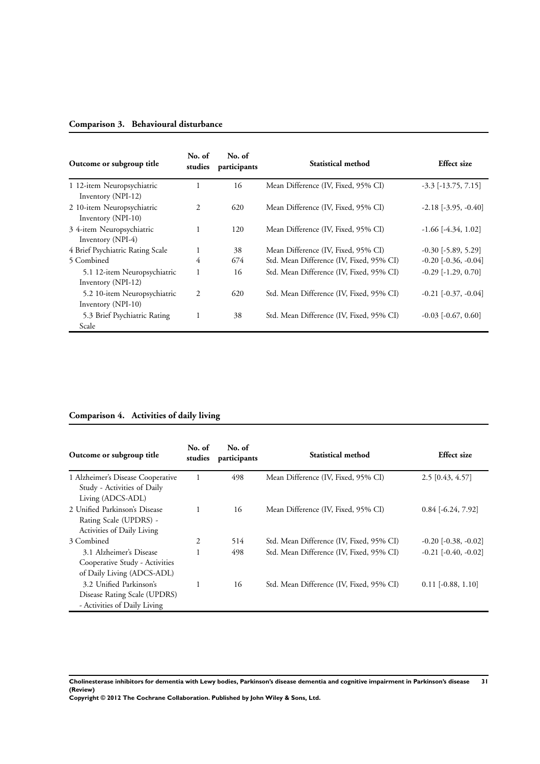| Outcome or subgroup title                          | No. of<br>studies | No. of<br>participants | Statistical method                       | Effect size                  |
|----------------------------------------------------|-------------------|------------------------|------------------------------------------|------------------------------|
| 1 12-item Neuropsychiatric<br>Inventory (NPI-12)   |                   | 16                     | Mean Difference (IV, Fixed, 95% CI)      | $-3.3$ [ $-13.75$ , $7.15$ ] |
| 2 10-item Neuropsychiatric<br>Inventory (NPI-10)   | $\overline{2}$    | 620                    | Mean Difference (IV, Fixed, 95% CI)      | $-2.18$ $[-3.95, -0.40]$     |
| 3 4-item Neuropsychiatric<br>Inventory (NPI-4)     | 1                 | 120                    | Mean Difference (IV, Fixed, 95% CI)      | $-1.66$ $[-4.34, 1.02]$      |
| 4 Brief Psychiatric Rating Scale                   | 1                 | 38                     | Mean Difference (IV, Fixed, 95% CI)      | $-0.30$ [ $-5.89, 5.29$ ]    |
| 5 Combined                                         | 4                 | 674                    | Std. Mean Difference (IV, Fixed, 95% CI) | $-0.20$ $[-0.36, -0.04]$     |
| 5.1 12-item Neuropsychiatric<br>Inventory (NPI-12) | 1                 | 16                     | Std. Mean Difference (IV, Fixed, 95% CI) | $-0.29$ [ $-1.29$ , 0.70]    |
| 5.2 10-item Neuropsychiatric<br>Inventory (NPI-10) | 2                 | 620                    | Std. Mean Difference (IV, Fixed, 95% CI) | $-0.21$ $[-0.37, -0.04]$     |
| 5.3 Brief Psychiatric Rating<br>Scale              | 1                 | 38                     | Std. Mean Difference (IV, Fixed, 95% CI) | $-0.03$ [ $-0.67, 0.60$ ]    |

# **Comparison 3. Behavioural disturbance**

**Comparison 4. Activities of daily living**

| Outcome or subgroup title                                                               | No. of<br>studies | No. of<br>participants | Statistical method                       | <b>Effect size</b>       |
|-----------------------------------------------------------------------------------------|-------------------|------------------------|------------------------------------------|--------------------------|
| 1 Alzheimer's Disease Cooperative<br>Study - Activities of Daily<br>Living (ADCS-ADL)   |                   | 498                    | Mean Difference (IV, Fixed, 95% CI)      | $2.5$ [0.43, 4.57]       |
| 2 Unified Parkinson's Disease<br>Rating Scale (UPDRS) -<br>Activities of Daily Living   |                   | 16                     | Mean Difference (IV, Fixed, 95% CI)      | $0.84$ [-6.24, 7.92]     |
| 3 Combined                                                                              | 2                 | 514                    | Std. Mean Difference (IV, Fixed, 95% CI) | $-0.20$ $[-0.38, -0.02]$ |
| 3.1 Alzheimer's Disease<br>Cooperative Study - Activities<br>of Daily Living (ADCS-ADL) |                   | 498                    | Std. Mean Difference (IV, Fixed, 95% CI) | $-0.21$ $[-0.40, -0.02]$ |
| 3.2 Unified Parkinson's<br>Disease Rating Scale (UPDRS)<br>- Activities of Daily Living |                   | 16                     | Std. Mean Difference (IV, Fixed, 95% CI) | $0.11$ [-0.88, 1.10]     |

**Cholinesterase inhibitors for dementia with Lewy bodies, Parkinson's disease dementia and cognitive impairment in Parkinson's disease 31 (Review)**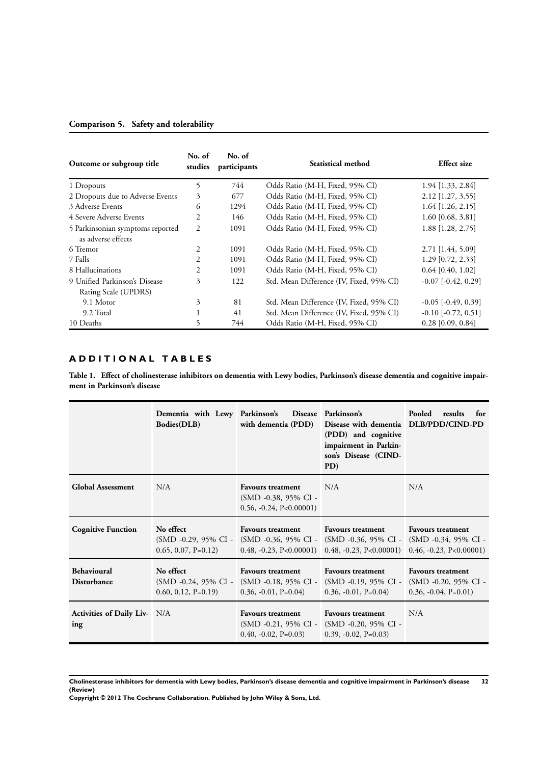<span id="page-33-0"></span>

| Comparison 5. Safety and tolerability |  |  |
|---------------------------------------|--|--|
|---------------------------------------|--|--|

| Outcome or subgroup title                              | No. of<br>studies | No. of<br>participants | Statistical method                       | <b>Effect</b> size      |
|--------------------------------------------------------|-------------------|------------------------|------------------------------------------|-------------------------|
| 1 Dropouts                                             | 5                 | 744                    | Odds Ratio (M-H, Fixed, 95% CI)          | 1.94 [1.33, 2.84]       |
| 2 Dropouts due to Adverse Events                       | 3                 | 677                    | Odds Ratio (M-H, Fixed, 95% CI)          | 2.12 [1.27, 3.55]       |
| 3 Adverse Events                                       | 6                 | 1294                   | Odds Ratio (M-H, Fixed, 95% CI)          | $1.64$ [1.26, 2.15]     |
| 4 Severe Adverse Events                                | $\overline{c}$    | 146                    | Odds Ratio (M-H, Fixed, 95% CI)          | $1.60$ [0.68, 3.81]     |
| 5 Parkinsonian symptoms reported<br>as adverse effects | $\overline{2}$    | 1091                   | Odds Ratio (M-H, Fixed, 95% CI)          | 1.88 [1.28, 2.75]       |
| 6 Tremor                                               | 2                 | 1091                   | Odds Ratio (M-H, Fixed, 95% CI)          | 2.71 [1.44, 5.09]       |
| 7 Falls                                                | 2                 | 1091                   | Odds Ratio (M-H, Fixed, 95% CI)          | $1.29$ [0.72, 2.33]     |
| 8 Hallucinations                                       | $\overline{2}$    | 1091                   | Odds Ratio (M-H, Fixed, 95% CI)          | $0.64$ [0.40, 1.02]     |
| 9 Unified Parkinson's Disease                          | 3                 | 122                    | Std. Mean Difference (IV, Fixed, 95% CI) | $-0.07$ $[-0.42, 0.29]$ |
| Rating Scale (UPDRS)                                   |                   |                        |                                          |                         |
| 9.1 Motor                                              | 3                 | 81                     | Std. Mean Difference (IV, Fixed, 95% CI) | $-0.05$ $[-0.49, 0.39]$ |
| 9.2 Total                                              |                   | 41                     | Std. Mean Difference (IV, Fixed, 95% CI) | $-0.10$ $[-0.72, 0.51]$ |
| 10 Deaths                                              |                   | 744                    | Odds Ratio (M-H, Fixed, 95% CI)          | $0.28$ [0.09, 0.84]     |

# **A D D I T I O N A L T A B L E S**

**Table 1. Effect of cholinesterase inhibitors on dementia with Lewy bodies, Parkinson's disease dementia and cognitive impairment in Parkinson's disease**

|                                            | Dementia with Lewy Parkinson's<br><b>Bodies(DLB)</b>      | <b>Disease</b><br>with dementia (PDD)                                         | Parkinson's<br>Disease with dementia DLB/PDD/CIND-PD<br>(PDD) and cognitive<br>impairment in Parkin-<br>son's Disease (CIND-<br>PD) | Pooled<br>results<br>for                                                      |
|--------------------------------------------|-----------------------------------------------------------|-------------------------------------------------------------------------------|-------------------------------------------------------------------------------------------------------------------------------------|-------------------------------------------------------------------------------|
| <b>Global Assessment</b>                   | N/A                                                       | <b>Favours treatment</b><br>(SMD -0.38, 95% CI -<br>$0.56, -0.24, P<0.00001)$ | N/A                                                                                                                                 | N/A                                                                           |
| <b>Cognitive Function</b>                  | No effect<br>(SMD -0.29, 95% CI -<br>$0.65, 0.07, P=0.12$ | <b>Favours treatment</b><br>$0.48, -0.23, P<0.00001$                          | <b>Favours treatment</b><br>$(SMD -0.36, 95\% \ CI - (SMD -0.36, 95\% \ CI -$<br>$0.48, -0.23, P<0.00001$                           | <b>Favours treatment</b><br>(SMD -0.34, 95% CI -<br>$0.46, -0.23, P<0.00001)$ |
| <b>Behavioural</b><br><b>Disturbance</b>   | No effect<br>(SMD -0.24, 95% CI -<br>$0.60, 0.12, P=0.19$ | <b>Favours treatment</b><br>(SMD -0.18, 95% CI -<br>$0.36, -0.01, P=0.04$     | <b>Favours treatment</b><br>(SMD -0.19, 95% CI -<br>$0.36, -0.01, P=0.04$                                                           | <b>Favours treatment</b><br>(SMD -0.20, 95% CI -<br>$0.36, -0.04, P=0.01$     |
| <b>Activities of Daily Liv-</b> N/A<br>ing |                                                           | <b>Favours treatment</b><br>(SMD -0.21, 95% CI -<br>$0.40, -0.02, P=0.03$     | <b>Favours treatment</b><br>(SMD -0.20, 95% CI -<br>$0.39, -0.02, P=0.03$                                                           | N/A                                                                           |

**Cholinesterase inhibitors for dementia with Lewy bodies, Parkinson's disease dementia and cognitive impairment in Parkinson's disease 32 (Review)**

**Copyright © 2012 The Cochrane Collaboration. Published by John Wiley & Sons, Ltd.**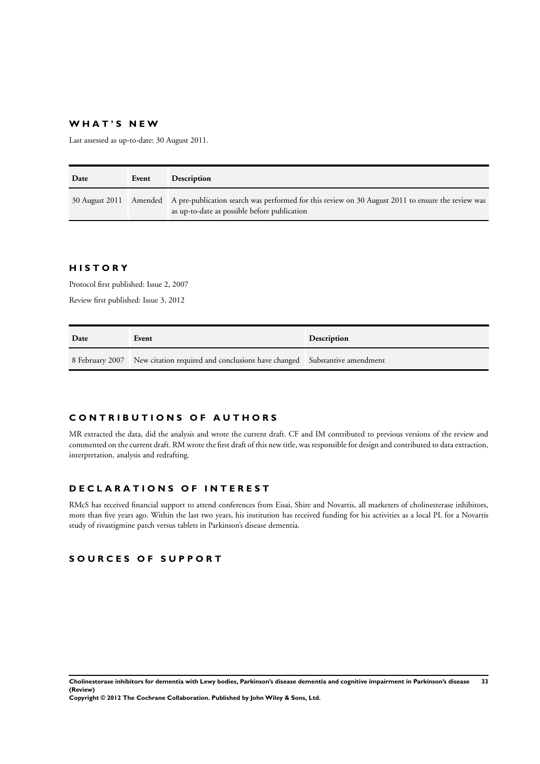# **W H A T ' S N E W**

Last assessed as up-to-date: 30 August 2011.

| Date           | Event | <b>Description</b>                                                                                                                                        |
|----------------|-------|-----------------------------------------------------------------------------------------------------------------------------------------------------------|
| 30 August 2011 |       | Amended A pre-publication search was performed for this review on 30 August 2011 to ensure the review was<br>as up-to-date as possible before publication |

# **H I S T O R Y**

Protocol first published: Issue 2, 2007

Review first published: Issue 3, 2012

| Date | Event                                                                                    | Description |
|------|------------------------------------------------------------------------------------------|-------------|
|      | 8 February 2007 New citation required and conclusions have changed Substantive amendment |             |

# **C O N T R I B U T I O N S O F A U T H O R S**

MR extracted the data, did the analysis and wrote the current draft. CF and IM contributed to previous versions of the review and commented on the current draft. RM wrote the first draft of this new title, was responsible for design and contributed to data extraction, interpretation, analysis and redrafting.

# **D E C L A R A T I O N S O F I N T E R E S T**

RMcS has received financial support to attend conferences from Eisai, Shire and Novartis, all marketers of cholinesterase inhibitors, more than five years ago. Within the last two years, his institution has received funding for his activities as a local PL for a Novartis study of rivastigmine patch versus tablets in Parkinson's disease dementia.

# **S O U R C E S O F S U P P O R T**

**Cholinesterase inhibitors for dementia with Lewy bodies, Parkinson's disease dementia and cognitive impairment in Parkinson's disease 33 (Review)**

**Copyright © 2012 The Cochrane Collaboration. Published by John Wiley & Sons, Ltd.**